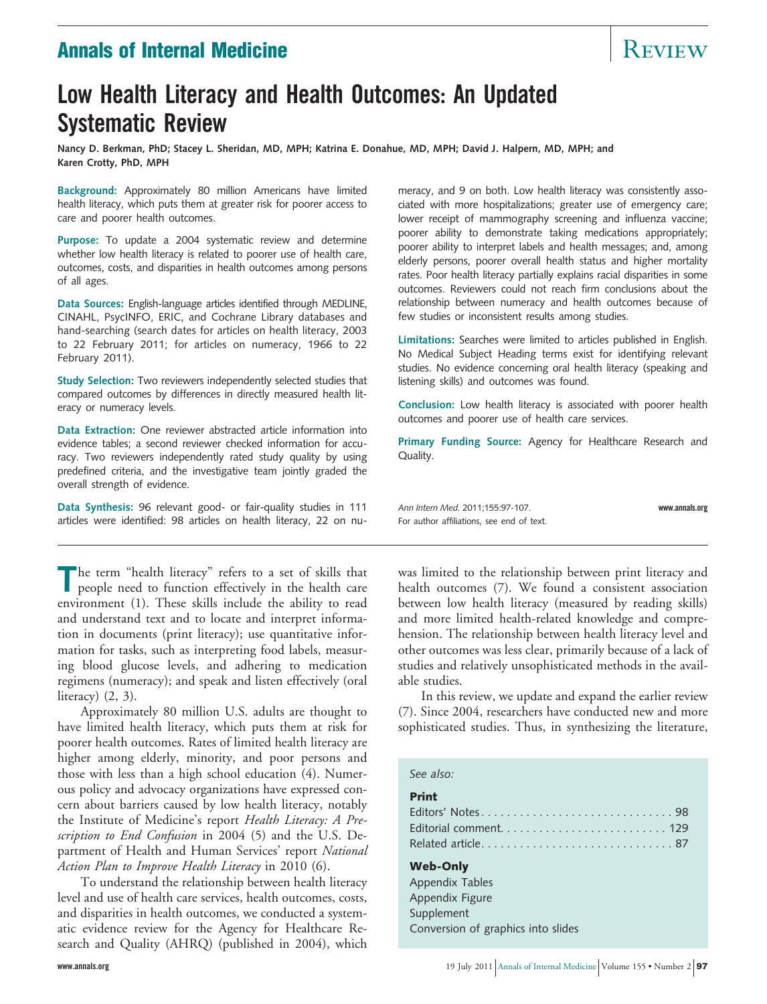# **Annals of Internal Medicine** Review Review Review

# **Low Health Literacy and Health Outcomes: An Updated Systematic Review**

**Nancy D. Berkman, PhD; Stacey L. Sheridan, MD, MPH; Katrina E. Donahue, MD, MPH; David J. Halpern, MD, MPH; and Karen Crotty, PhD, MPH**

**Background:** Approximately 80 million Americans have limited health literacy, which puts them at greater risk for poorer access to care and poorer health outcomes.

**Purpose:** To update a 2004 systematic review and determine whether low health literacy is related to poorer use of health care, outcomes, costs, and disparities in health outcomes among persons of all ages.

**Data Sources:** English-language articles identified through MEDLINE, CINAHL, PsycINFO, ERIC, and Cochrane Library databases and hand-searching (search dates for articles on health literacy, 2003 to 22 February 2011; for articles on numeracy, 1966 to 22 February 2011).

**Study Selection:** Two reviewers independently selected studies that compared outcomes by differences in directly measured health literacy or numeracy levels.

**Data Extraction:** One reviewer abstracted article information into evidence tables; a second reviewer checked information for accuracy. Two reviewers independently rated study quality by using predefined criteria, and the investigative team jointly graded the overall strength of evidence.

**Data Synthesis:** 96 relevant good- or fair-quality studies in 111 articles were identified: 98 articles on health literacy, 22 on nu-

**T**he term "health literacy" refers to a set of skills that people need to function effectively in the health care environment (1). These skills include the ability to read and understand text and to locate and interpret information in documents (print literacy); use quantitative information for tasks, such as interpreting food labels, measuring blood glucose levels, and adhering to medication regimens (numeracy); and speak and listen effectively (oral literacy) (2, 3).

Approximately 80 million U.S. adults are thought to have limited health literacy, which puts them at risk for poorer health outcomes. Rates of limited health literacy are higher among elderly, minority, and poor persons and those with less than a high school education (4). Numerous policy and advocacy organizations have expressed concern about barriers caused by low health literacy, notably the Institute of Medicine's report *Health Literacy: A Prescription to End Confusion* in 2004 (5) and the U.S. Department of Health and Human Services' report *National Action Plan to Improve Health Literacy* in 2010 (6).

To understand the relationship between health literacy level and use of health care services, health outcomes, costs, and disparities in health outcomes, we conducted a systematic evidence review for the Agency for Healthcare Research and Quality (AHRQ) (published in 2004), which

meracy, and 9 on both. Low health literacy was consistently associated with more hospitalizations; greater use of emergency care; lower receipt of mammography screening and influenza vaccine; poorer ability to demonstrate taking medications appropriately; poorer ability to interpret labels and health messages; and, among elderly persons, poorer overall health status and higher mortality rates. Poor health literacy partially explains racial disparities in some outcomes. Reviewers could not reach firm conclusions about the relationship between numeracy and health outcomes because of few studies or inconsistent results among studies.

**Limitations:** Searches were limited to articles published in English. No Medical Subject Heading terms exist for identifying relevant studies. No evidence concerning oral health literacy (speaking and listening skills) and outcomes was found.

**Conclusion:** Low health literacy is associated with poorer health outcomes and poorer use of health care services.

**Primary Funding Source:** Agency for Healthcare Research and Quality.

*Ann Intern Med.* 2011;155:97-107. **www.annals.org** For author affiliations, see end of text.

was limited to the relationship between print literacy and health outcomes (7). We found a consistent association between low health literacy (measured by reading skills) and more limited health-related knowledge and comprehension. The relationship between health literacy level and other outcomes was less clear, primarily because of a lack of studies and relatively unsophisticated methods in the available studies.

In this review, we update and expand the earlier review (7). Since 2004, researchers have conducted new and more sophisticated studies. Thus, in synthesizing the literature,

#### *See also:*

#### **Print**

| Editors' Notes98 |  |  |  |  |  |  |  |  |  |  |  |  |  |
|------------------|--|--|--|--|--|--|--|--|--|--|--|--|--|
|                  |  |  |  |  |  |  |  |  |  |  |  |  |  |
|                  |  |  |  |  |  |  |  |  |  |  |  |  |  |

#### **Web-Only**

Appendix Tables Appendix Figure Supplement Conversion of graphics into slides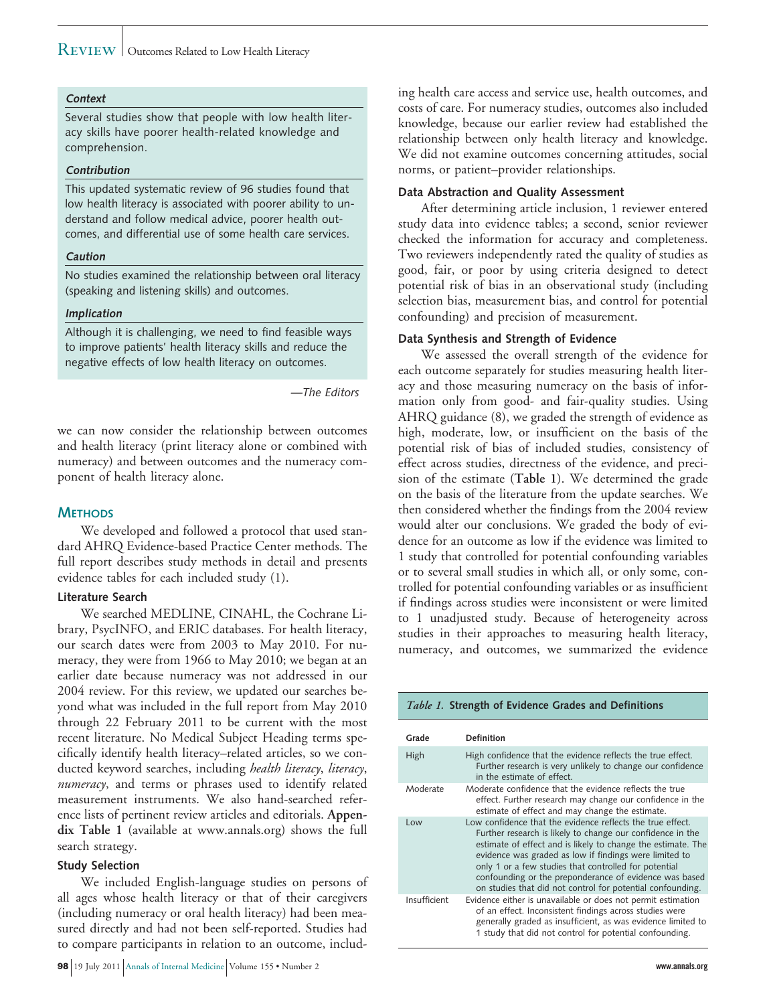#### **Context**

Several studies show that people with low health literacy skills have poorer health-related knowledge and comprehension.

#### **Contribution**

This updated systematic review of 96 studies found that low health literacy is associated with poorer ability to understand and follow medical advice, poorer health outcomes, and differential use of some health care services.

#### **Caution**

No studies examined the relationship between oral literacy (speaking and listening skills) and outcomes.

# **Implication**

Although it is challenging, we need to find feasible ways to improve patients' health literacy skills and reduce the negative effects of low health literacy on outcomes.

*—The Editors*

we can now consider the relationship between outcomes and health literacy (print literacy alone or combined with numeracy) and between outcomes and the numeracy component of health literacy alone.

# **METHODS**

We developed and followed a protocol that used standard AHRQ Evidence-based Practice Center methods. The full report describes study methods in detail and presents evidence tables for each included study (1).

#### **Literature Search**

We searched MEDLINE, CINAHL, the Cochrane Library, PsycINFO, and ERIC databases. For health literacy, our search dates were from 2003 to May 2010. For numeracy, they were from 1966 to May 2010; we began at an earlier date because numeracy was not addressed in our 2004 review. For this review, we updated our searches beyond what was included in the full report from May 2010 through 22 February 2011 to be current with the most recent literature. No Medical Subject Heading terms specifically identify health literacy–related articles, so we conducted keyword searches, including *health literacy*, *literacy*, *numeracy*, and terms or phrases used to identify related measurement instruments. We also hand-searched reference lists of pertinent review articles and editorials. **Appendix Table 1** (available at www.annals.org) shows the full search strategy.

#### **Study Selection**

We included English-language studies on persons of all ages whose health literacy or that of their caregivers (including numeracy or oral health literacy) had been measured directly and had not been self-reported. Studies had to compare participants in relation to an outcome, includ-

**98** 19 July 2011 Annals of Internal Medicine Volume 155 • Number 2 **www.annals.org**

ing health care access and service use, health outcomes, and costs of care. For numeracy studies, outcomes also included knowledge, because our earlier review had established the relationship between only health literacy and knowledge. We did not examine outcomes concerning attitudes, social norms, or patient–provider relationships.

#### **Data Abstraction and Quality Assessment**

After determining article inclusion, 1 reviewer entered study data into evidence tables; a second, senior reviewer checked the information for accuracy and completeness. Two reviewers independently rated the quality of studies as good, fair, or poor by using criteria designed to detect potential risk of bias in an observational study (including selection bias, measurement bias, and control for potential confounding) and precision of measurement.

#### **Data Synthesis and Strength of Evidence**

We assessed the overall strength of the evidence for each outcome separately for studies measuring health literacy and those measuring numeracy on the basis of information only from good- and fair-quality studies. Using AHRQ guidance (8), we graded the strength of evidence as high, moderate, low, or insufficient on the basis of the potential risk of bias of included studies, consistency of effect across studies, directness of the evidence, and precision of the estimate (**Table 1**). We determined the grade on the basis of the literature from the update searches. We then considered whether the findings from the 2004 review would alter our conclusions. We graded the body of evidence for an outcome as low if the evidence was limited to 1 study that controlled for potential confounding variables or to several small studies in which all, or only some, controlled for potential confounding variables or as insufficient if findings across studies were inconsistent or were limited to 1 unadjusted study. Because of heterogeneity across studies in their approaches to measuring health literacy, numeracy, and outcomes, we summarized the evidence

|  |  | Table 1. Strength of Evidence Grades and Definitions |  |  |  |  |
|--|--|------------------------------------------------------|--|--|--|--|
|--|--|------------------------------------------------------|--|--|--|--|

| Grade        | Definition                                                                                                                                                                                                                                                                                                                                                                                                                          |
|--------------|-------------------------------------------------------------------------------------------------------------------------------------------------------------------------------------------------------------------------------------------------------------------------------------------------------------------------------------------------------------------------------------------------------------------------------------|
| High         | High confidence that the evidence reflects the true effect.<br>Further research is very unlikely to change our confidence<br>in the estimate of effect.                                                                                                                                                                                                                                                                             |
| Moderate     | Moderate confidence that the evidence reflects the true<br>effect. Further research may change our confidence in the<br>estimate of effect and may change the estimate.                                                                                                                                                                                                                                                             |
| Low          | Low confidence that the evidence reflects the true effect.<br>Further research is likely to change our confidence in the<br>estimate of effect and is likely to change the estimate. The<br>evidence was graded as low if findings were limited to<br>only 1 or a few studies that controlled for potential<br>confounding or the preponderance of evidence was based<br>on studies that did not control for potential confounding. |
| Insufficient | Evidence either is unavailable or does not permit estimation<br>of an effect. Inconsistent findings across studies were<br>generally graded as insufficient, as was evidence limited to<br>1 study that did not control for potential confounding.                                                                                                                                                                                  |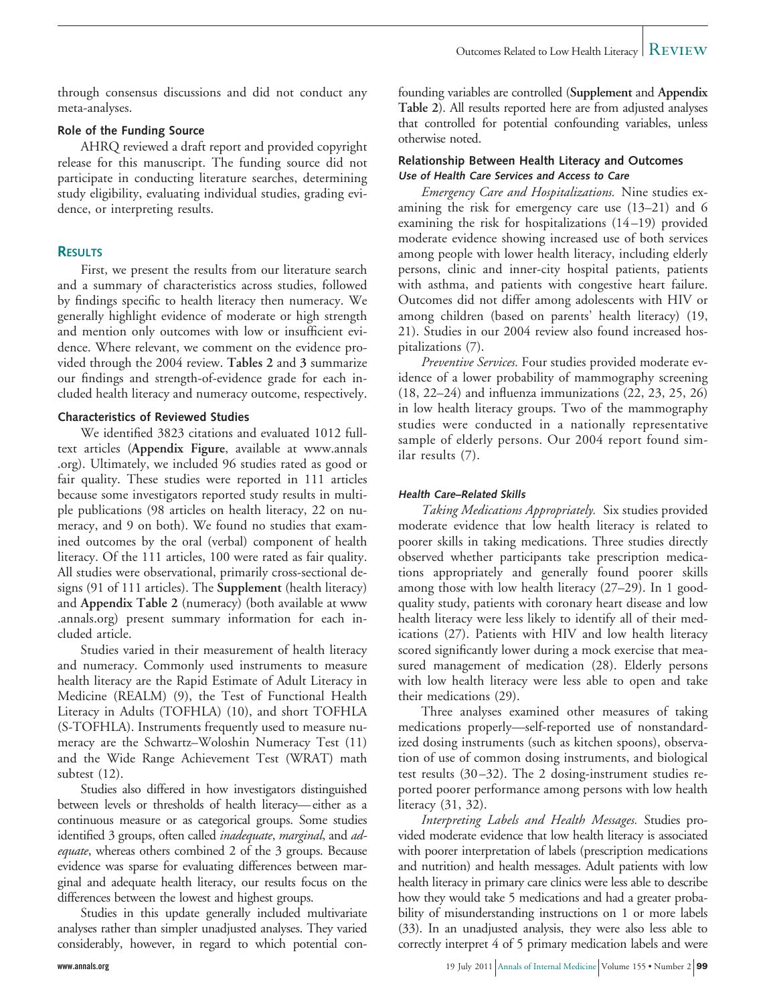through consensus discussions and did not conduct any meta-analyses.

#### **Role of the Funding Source**

AHRQ reviewed a draft report and provided copyright release for this manuscript. The funding source did not participate in conducting literature searches, determining study eligibility, evaluating individual studies, grading evidence, or interpreting results.

# **RESULTS**

First, we present the results from our literature search and a summary of characteristics across studies, followed by findings specific to health literacy then numeracy. We generally highlight evidence of moderate or high strength and mention only outcomes with low or insufficient evidence. Where relevant, we comment on the evidence provided through the 2004 review. **Tables 2** and **3** summarize our findings and strength-of-evidence grade for each included health literacy and numeracy outcome, respectively.

# **Characteristics of Reviewed Studies**

We identified 3823 citations and evaluated 1012 fulltext articles (**Appendix Figure**, available at www.annals .org). Ultimately, we included 96 studies rated as good or fair quality. These studies were reported in 111 articles because some investigators reported study results in multiple publications (98 articles on health literacy, 22 on numeracy, and 9 on both). We found no studies that examined outcomes by the oral (verbal) component of health literacy. Of the 111 articles, 100 were rated as fair quality. All studies were observational, primarily cross-sectional designs (91 of 111 articles). The **Supplement** (health literacy) and **Appendix Table 2** (numeracy) (both available at www .annals.org) present summary information for each included article.

Studies varied in their measurement of health literacy and numeracy. Commonly used instruments to measure health literacy are the Rapid Estimate of Adult Literacy in Medicine (REALM) (9), the Test of Functional Health Literacy in Adults (TOFHLA) (10), and short TOFHLA (S-TOFHLA). Instruments frequently used to measure numeracy are the Schwartz–Woloshin Numeracy Test (11) and the Wide Range Achievement Test (WRAT) math subtest (12).

Studies also differed in how investigators distinguished between levels or thresholds of health literacy—either as a continuous measure or as categorical groups. Some studies identified 3 groups, often called *inadequate*, *marginal*, and *adequate*, whereas others combined 2 of the 3 groups. Because evidence was sparse for evaluating differences between marginal and adequate health literacy, our results focus on the differences between the lowest and highest groups.

Studies in this update generally included multivariate analyses rather than simpler unadjusted analyses. They varied considerably, however, in regard to which potential confounding variables are controlled (**Supplement** and **Appendix Table 2**). All results reported here are from adjusted analyses that controlled for potential confounding variables, unless otherwise noted.

#### **Relationship Between Health Literacy and Outcomes Use of Health Care Services and Access to Care**

*Emergency Care and Hospitalizations.* Nine studies examining the risk for emergency care use (13–21) and 6 examining the risk for hospitalizations (14–19) provided moderate evidence showing increased use of both services among people with lower health literacy, including elderly persons, clinic and inner-city hospital patients, patients with asthma, and patients with congestive heart failure. Outcomes did not differ among adolescents with HIV or among children (based on parents' health literacy) (19, 21). Studies in our 2004 review also found increased hospitalizations (7).

*Preventive Services.* Four studies provided moderate evidence of a lower probability of mammography screening (18, 22–24) and influenza immunizations (22, 23, 25, 26) in low health literacy groups. Two of the mammography studies were conducted in a nationally representative sample of elderly persons. Our 2004 report found similar results (7).

# **Health Care–Related Skills**

*Taking Medications Appropriately.* Six studies provided moderate evidence that low health literacy is related to poorer skills in taking medications. Three studies directly observed whether participants take prescription medications appropriately and generally found poorer skills among those with low health literacy (27–29). In 1 goodquality study, patients with coronary heart disease and low health literacy were less likely to identify all of their medications (27). Patients with HIV and low health literacy scored significantly lower during a mock exercise that measured management of medication (28). Elderly persons with low health literacy were less able to open and take their medications (29).

Three analyses examined other measures of taking medications properly—self-reported use of nonstandardized dosing instruments (such as kitchen spoons), observation of use of common dosing instruments, and biological test results (30–32). The 2 dosing-instrument studies reported poorer performance among persons with low health literacy (31, 32).

*Interpreting Labels and Health Messages.* Studies provided moderate evidence that low health literacy is associated with poorer interpretation of labels (prescription medications and nutrition) and health messages. Adult patients with low health literacy in primary care clinics were less able to describe how they would take 5 medications and had a greater probability of misunderstanding instructions on 1 or more labels (33). In an unadjusted analysis, they were also less able to correctly interpret 4 of 5 primary medication labels and were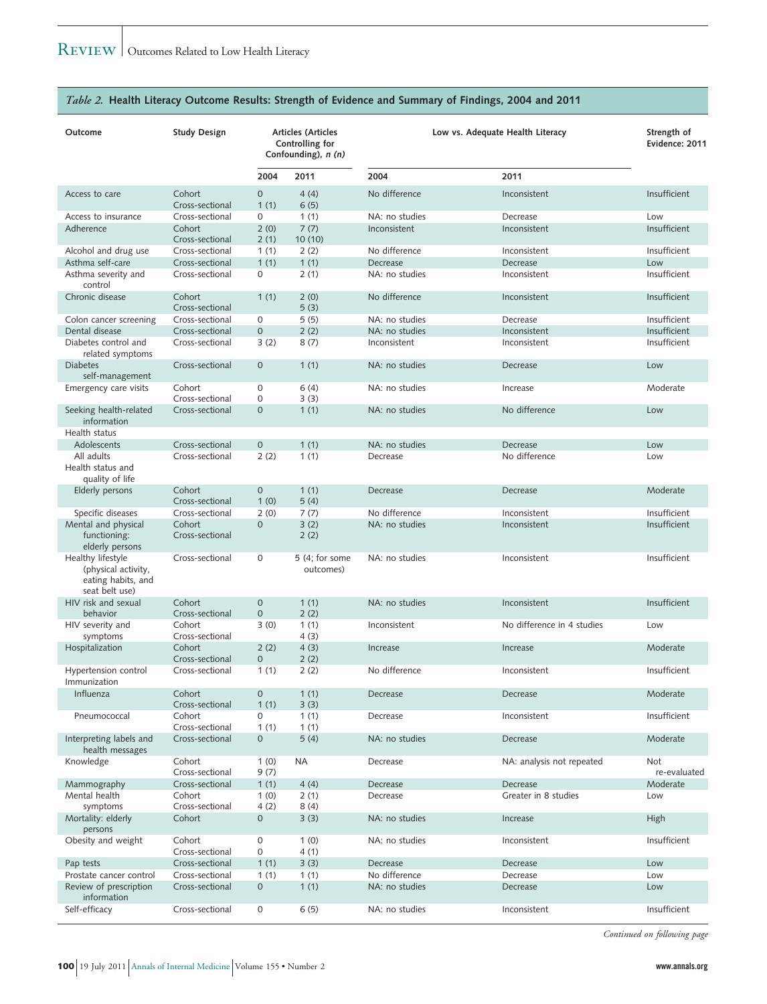| Outcome<br><b>Study Design</b>                                                   |                           |                              | <b>Articles (Articles</b><br>Controlling for<br>Confounding), n (n) | Low vs. Adequate Health Literacy | Strength of<br>Evidence: 2011 |                     |
|----------------------------------------------------------------------------------|---------------------------|------------------------------|---------------------------------------------------------------------|----------------------------------|-------------------------------|---------------------|
|                                                                                  |                           | 2004                         | 2011                                                                | 2004                             | 2011                          |                     |
| Access to care                                                                   | Cohort<br>Cross-sectional | $\overline{O}$<br>1(1)       | 4(4)<br>6(5)                                                        | No difference                    | Inconsistent                  | Insufficient        |
| Access to insurance                                                              | Cross-sectional           | 0                            | 1(1)                                                                | NA: no studies                   | Decrease                      | Low                 |
| Adherence                                                                        | Cohort<br>Cross-sectional | 2(0)<br>2(1)                 | 7(7)<br>10(10)                                                      | Inconsistent                     | Inconsistent                  | Insufficient        |
| Alcohol and drug use                                                             | Cross-sectional           | 1(1)                         | 2(2)                                                                | No difference                    | Inconsistent                  | Insufficient        |
| Asthma self-care                                                                 | Cross-sectional           | 1(1)                         | 1(1)                                                                | Decrease                         | Decrease                      | Low                 |
| Asthma severity and<br>control                                                   | Cross-sectional           | $\mathbf{O}$                 | 2(1)                                                                | NA: no studies                   | Inconsistent                  | Insufficient        |
| Chronic disease                                                                  | Cohort<br>Cross-sectional | 1(1)                         | 2(0)<br>5(3)                                                        | No difference                    | Inconsistent                  | Insufficient        |
| Colon cancer screening                                                           | Cross-sectional           | $\mathbf{0}$                 | 5(5)                                                                | NA: no studies                   | Decrease                      | Insufficient        |
| Dental disease                                                                   | Cross-sectional           | $\mathbf 0$                  | 2(2)                                                                | NA: no studies                   | Inconsistent                  | Insufficient        |
| Diabetes control and<br>related symptoms                                         | Cross-sectional           | 3(2)                         | 8(7)                                                                | Inconsistent                     | Inconsistent                  | Insufficient        |
| <b>Diabetes</b><br>self-management                                               | Cross-sectional           | $\mathbf{0}$                 | 1(1)                                                                | NA: no studies                   | Decrease                      | Low                 |
| Emergency care visits                                                            | Cohort<br>Cross-sectional | 0<br>$\mathbf{O}$            | 6(4)<br>3(3)                                                        | NA: no studies                   | Increase                      | Moderate            |
| Seeking health-related<br>information                                            | Cross-sectional           | $\mathbf 0$                  | 1(1)                                                                | NA: no studies                   | No difference                 | Low                 |
| Health status                                                                    |                           |                              |                                                                     |                                  |                               |                     |
| Adolescents                                                                      | Cross-sectional           | $\mathbf{0}$                 | 1(1)                                                                | NA: no studies                   | Decrease                      | Low                 |
| All adults<br>Health status and<br>quality of life                               | Cross-sectional           | 2(2)                         | 1(1)                                                                | Decrease                         | No difference                 | Low                 |
| Elderly persons                                                                  | Cohort<br>Cross-sectional | $\mathbf{0}$<br>1(0)         | 1(1)<br>5(4)                                                        | Decrease                         | Decrease                      | Moderate            |
| Specific diseases                                                                | Cross-sectional           | 2(0)                         | 7(7)                                                                | No difference                    | Inconsistent                  | Insufficient        |
| Mental and physical<br>functioning:<br>elderly persons                           | Cohort<br>Cross-sectional | $\mathbf{0}$                 | 3(2)<br>2(2)                                                        | NA: no studies                   | Inconsistent                  | Insufficient        |
| Healthy lifestyle<br>(physical activity,<br>eating habits, and<br>seat belt use) | Cross-sectional           | 0                            | $5(4;$ for some<br>outcomes)                                        | NA: no studies                   | Inconsistent                  | Insufficient        |
| HIV risk and sexual<br>behavior                                                  | Cohort<br>Cross-sectional | $\mathbf{0}$<br>$\mathbf{0}$ | 1(1)<br>2(2)                                                        | NA: no studies                   | Inconsistent                  | Insufficient        |
| HIV severity and<br>symptoms                                                     | Cohort<br>Cross-sectional | 3(0)                         | 1(1)<br>4(3)                                                        | Inconsistent                     | No difference in 4 studies    | Low                 |
| Hospitalization                                                                  | Cohort<br>Cross-sectional | 2(2)<br>$\mathbf{0}$         | 4(3)<br>2(2)                                                        | Increase                         | Increase                      | Moderate            |
| Hypertension control<br>Immunization                                             | Cross-sectional           | 1(1)                         | 2(2)                                                                | No difference                    | Inconsistent                  | Insufficient        |
| Influenza                                                                        | Cohort<br>Cross-sectional | $\mathbf{0}$<br>1(1)         | 1(1)<br>3(3)                                                        | Decrease                         | Decrease                      | Moderate            |
| Pneumococcal                                                                     | Cohort<br>Cross-sectional | 0<br>1(1)                    | 1(1)<br>1(1)                                                        | Decrease                         | Inconsistent                  | Insufficient        |
| Interpreting labels and<br>health messages                                       | Cross-sectional           | $\mathbf{0}$                 | 5(4)                                                                | NA: no studies                   | Decrease                      | Moderate            |
| Knowledge                                                                        | Cohort<br>Cross-sectional | 1(0)<br>9(7)                 | <b>NA</b>                                                           | Decrease                         | NA: analysis not repeated     | Not<br>re-evaluated |
| Mammography                                                                      | Cross-sectional           | 1(1)                         | 4(4)                                                                | Decrease                         | Decrease                      | Moderate            |
| Mental health<br>symptoms                                                        | Cohort<br>Cross-sectional | 1(0)<br>4(2)                 | 2(1)<br>8(4)                                                        | Decrease                         | Greater in 8 studies          | Low                 |
| Mortality: elderly<br>persons                                                    | Cohort                    | $\mathbf{0}$                 | 3(3)                                                                | NA: no studies                   | Increase                      | High                |
| Obesity and weight                                                               | Cohort<br>Cross-sectional | 0<br>$\mathbf 0$             | 1(0)<br>4(1)                                                        | NA: no studies                   | Inconsistent                  | Insufficient        |
| Pap tests                                                                        | Cross-sectional           | 1(1)                         | 3(3)                                                                | Decrease                         | Decrease                      | Low                 |
| Prostate cancer control                                                          | Cross-sectional           | 1(1)                         | 1(1)                                                                | No difference                    | Decrease                      | Low                 |
| Review of prescription<br>information                                            | Cross-sectional           | $\mathbf{0}$                 | 1(1)                                                                | NA: no studies                   | Decrease                      | Low                 |
| Self-efficacy                                                                    | Cross-sectional           | 0                            | 6(5)                                                                | NA: no studies                   | Inconsistent                  | Insufficient        |

# *Table 2.* **Health Literacy Outcome Results: Strength of Evidence and Summary of Findings, 2004 and 2011**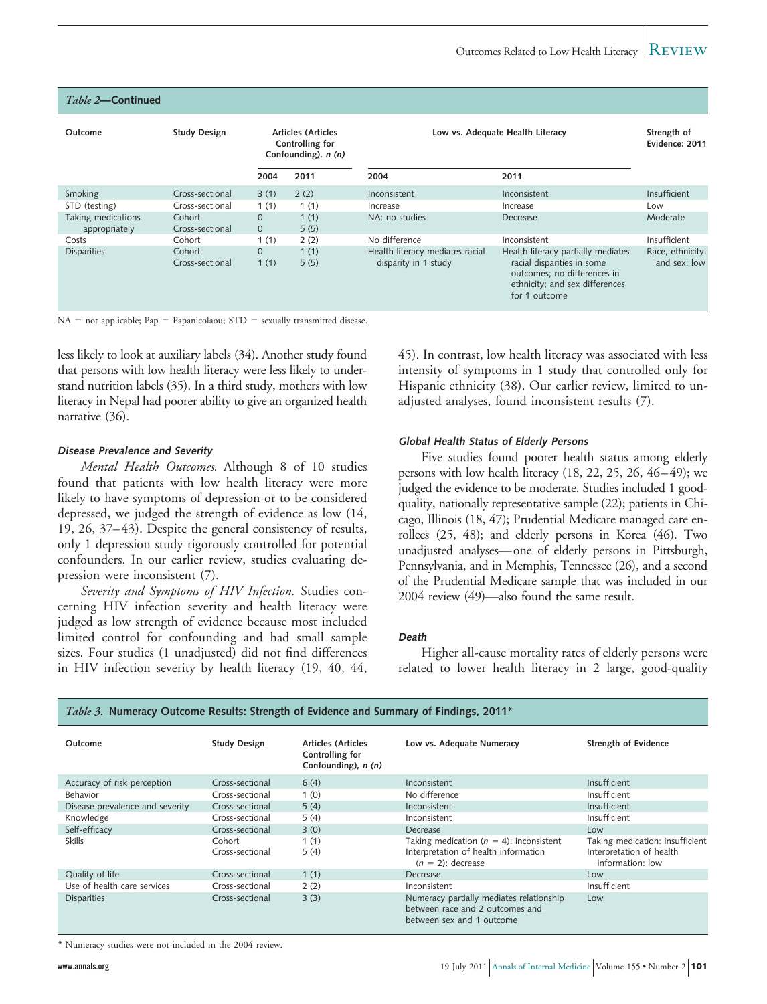| <i>Table 2</i> —Continued           |                           |                                                                     |              |                                                         |                                                                                                                                                    |                                  |  |
|-------------------------------------|---------------------------|---------------------------------------------------------------------|--------------|---------------------------------------------------------|----------------------------------------------------------------------------------------------------------------------------------------------------|----------------------------------|--|
| Outcome                             | <b>Study Design</b>       | <b>Articles (Articles</b><br>Controlling for<br>Confounding), n (n) |              | Low vs. Adequate Health Literacy                        |                                                                                                                                                    |                                  |  |
|                                     |                           | 2004                                                                | 2011         | 2004                                                    | 2011                                                                                                                                               |                                  |  |
| Smoking                             | Cross-sectional           | 3(1)                                                                | 2(2)         | Inconsistent                                            | Inconsistent                                                                                                                                       | Insufficient                     |  |
| STD (testing)                       | Cross-sectional           | 1(1)                                                                | 1(1)         | Increase                                                | Increase                                                                                                                                           | Low                              |  |
| Taking medications<br>appropriately | Cohort<br>Cross-sectional | $\mathbf{0}$<br>$\overline{0}$                                      | 1(1)<br>5(5) | NA: no studies                                          | Decrease                                                                                                                                           | Moderate                         |  |
| Costs                               | Cohort                    | 1(1)                                                                | 2(2)         | No difference                                           | Inconsistent                                                                                                                                       | Insufficient                     |  |
| <b>Disparities</b>                  | Cohort<br>Cross-sectional | $\overline{0}$<br>1(1)                                              | 1(1)<br>5(5) | Health literacy mediates racial<br>disparity in 1 study | Health literacy partially mediates<br>racial disparities in some<br>outcomes; no differences in<br>ethnicity; and sex differences<br>for 1 outcome | Race, ethnicity,<br>and sex: low |  |

 $NA =$  not applicable; Pap = Papanicolaou;  $STD =$  sexually transmitted disease.

less likely to look at auxiliary labels (34). Another study found that persons with low health literacy were less likely to understand nutrition labels (35). In a third study, mothers with low literacy in Nepal had poorer ability to give an organized health narrative (36).

#### **Disease Prevalence and Severity**

*Mental Health Outcomes.* Although 8 of 10 studies found that patients with low health literacy were more likely to have symptoms of depression or to be considered depressed, we judged the strength of evidence as low (14, 19, 26, 37–43). Despite the general consistency of results, only 1 depression study rigorously controlled for potential confounders. In our earlier review, studies evaluating depression were inconsistent (7).

*Severity and Symptoms of HIV Infection.* Studies concerning HIV infection severity and health literacy were judged as low strength of evidence because most included limited control for confounding and had small sample sizes. Four studies (1 unadjusted) did not find differences in HIV infection severity by health literacy (19, 40, 44,

*Table 3.* **Numeracy Outcome Results: Strength of Evidence and Summary of Findings, 2011\***

45). In contrast, low health literacy was associated with less intensity of symptoms in 1 study that controlled only for Hispanic ethnicity (38). Our earlier review, limited to unadjusted analyses, found inconsistent results (7).

#### **Global Health Status of Elderly Persons**

Five studies found poorer health status among elderly persons with low health literacy (18, 22, 25, 26, 46–49); we judged the evidence to be moderate. Studies included 1 goodquality, nationally representative sample (22); patients in Chicago, Illinois (18, 47); Prudential Medicare managed care enrollees (25, 48); and elderly persons in Korea (46). Two unadjusted analyses—one of elderly persons in Pittsburgh, Pennsylvania, and in Memphis, Tennessee (26), and a second of the Prudential Medicare sample that was included in our 2004 review (49)—also found the same result.

#### **Death**

Higher all-cause mortality rates of elderly persons were related to lower health literacy in 2 large, good-quality

| <i>Thout 3.</i> Thannoidly Outcome negated stronger or Evidence and Summary or Financys, 2011 |                           |                                                                     |                                                                                                             |                                                                                 |  |  |  |  |  |
|-----------------------------------------------------------------------------------------------|---------------------------|---------------------------------------------------------------------|-------------------------------------------------------------------------------------------------------------|---------------------------------------------------------------------------------|--|--|--|--|--|
| Outcome                                                                                       | <b>Study Design</b>       | <b>Articles (Articles</b><br>Controlling for<br>Confounding), n (n) | Low vs. Adequate Numeracy                                                                                   | Strength of Evidence                                                            |  |  |  |  |  |
| Accuracy of risk perception                                                                   | Cross-sectional           | 6(4)                                                                | Inconsistent                                                                                                | Insufficient                                                                    |  |  |  |  |  |
| <b>Behavior</b>                                                                               | Cross-sectional           | 1(0)                                                                | No difference                                                                                               | Insufficient                                                                    |  |  |  |  |  |
| Disease prevalence and severity                                                               | Cross-sectional           | 5(4)                                                                | Inconsistent                                                                                                | Insufficient                                                                    |  |  |  |  |  |
| Knowledge                                                                                     | Cross-sectional           | 5(4)                                                                | Inconsistent                                                                                                | Insufficient                                                                    |  |  |  |  |  |
| Self-efficacy                                                                                 | Cross-sectional           | 3(0)                                                                | Decrease                                                                                                    | Low                                                                             |  |  |  |  |  |
| <b>Skills</b>                                                                                 | Cohort<br>Cross-sectional | 1(1)<br>5(4)                                                        | Taking medication ( $n = 4$ ): inconsistent<br>Interpretation of health information<br>$(n = 2)$ : decrease | Taking medication: insufficient<br>Interpretation of health<br>information: low |  |  |  |  |  |
| Quality of life                                                                               | Cross-sectional           | 1(1)                                                                | <b>Decrease</b>                                                                                             | Low                                                                             |  |  |  |  |  |
| Use of health care services                                                                   | Cross-sectional           | 2(2)                                                                | Inconsistent                                                                                                | Insufficient                                                                    |  |  |  |  |  |
| <b>Disparities</b>                                                                            | Cross-sectional           | 3(3)                                                                | Numeracy partially mediates relationship<br>between race and 2 outcomes and<br>between sex and 1 outcome    | Low                                                                             |  |  |  |  |  |

\* Numeracy studies were not included in the 2004 review.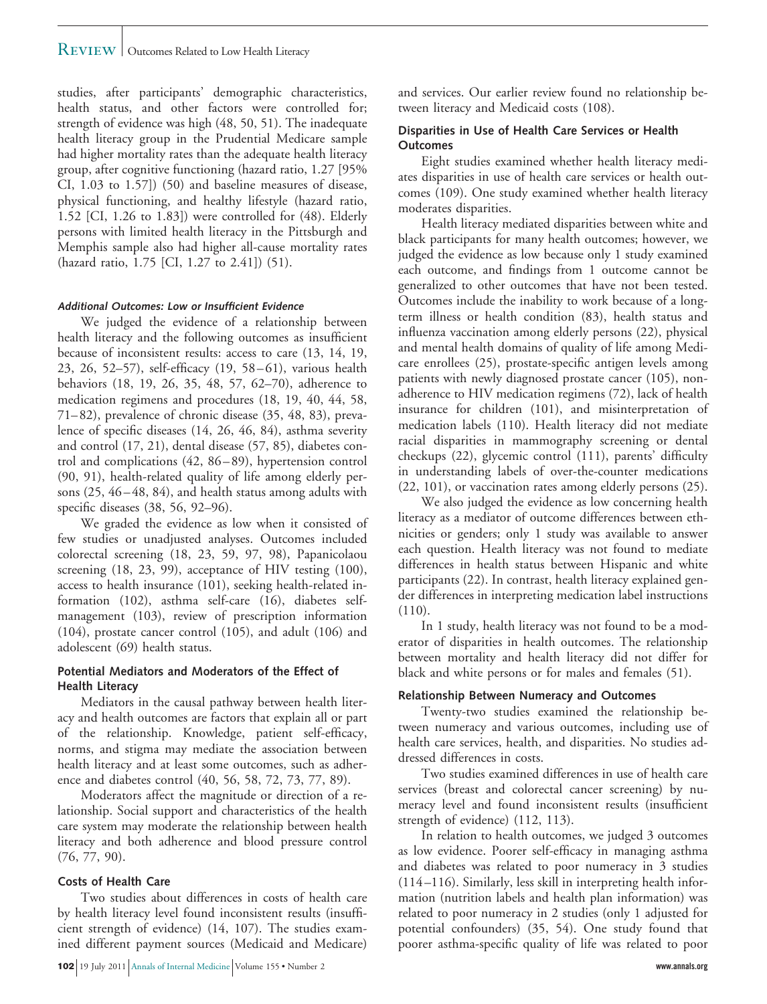studies, after participants' demographic characteristics, health status, and other factors were controlled for; strength of evidence was high (48, 50, 51). The inadequate health literacy group in the Prudential Medicare sample had higher mortality rates than the adequate health literacy group, after cognitive functioning (hazard ratio, 1.27 [95% CI, 1.03 to 1.57]) (50) and baseline measures of disease, physical functioning, and healthy lifestyle (hazard ratio, 1.52 [CI, 1.26 to 1.83]) were controlled for (48). Elderly persons with limited health literacy in the Pittsburgh and Memphis sample also had higher all-cause mortality rates (hazard ratio, 1.75 [CI, 1.27 to 2.41]) (51).

#### **Additional Outcomes: Low or Insufficient Evidence**

We judged the evidence of a relationship between health literacy and the following outcomes as insufficient because of inconsistent results: access to care (13, 14, 19, 23, 26, 52–57), self-efficacy (19, 58–61), various health behaviors (18, 19, 26, 35, 48, 57, 62–70), adherence to medication regimens and procedures (18, 19, 40, 44, 58, 71–82), prevalence of chronic disease (35, 48, 83), prevalence of specific diseases (14, 26, 46, 84), asthma severity and control (17, 21), dental disease (57, 85), diabetes control and complications (42, 86–89), hypertension control (90, 91), health-related quality of life among elderly persons (25, 46–48, 84), and health status among adults with specific diseases (38, 56, 92–96).

We graded the evidence as low when it consisted of few studies or unadjusted analyses. Outcomes included colorectal screening (18, 23, 59, 97, 98), Papanicolaou screening (18, 23, 99), acceptance of HIV testing (100), access to health insurance (101), seeking health-related information (102), asthma self-care (16), diabetes selfmanagement (103), review of prescription information (104), prostate cancer control (105), and adult (106) and adolescent (69) health status.

# **Potential Mediators and Moderators of the Effect of Health Literacy**

Mediators in the causal pathway between health literacy and health outcomes are factors that explain all or part of the relationship. Knowledge, patient self-efficacy, norms, and stigma may mediate the association between health literacy and at least some outcomes, such as adherence and diabetes control (40, 56, 58, 72, 73, 77, 89).

Moderators affect the magnitude or direction of a relationship. Social support and characteristics of the health care system may moderate the relationship between health literacy and both adherence and blood pressure control (76, 77, 90).

#### **Costs of Health Care**

Two studies about differences in costs of health care by health literacy level found inconsistent results (insufficient strength of evidence) (14, 107). The studies examined different payment sources (Medicaid and Medicare) and services. Our earlier review found no relationship between literacy and Medicaid costs (108).

#### **Disparities in Use of Health Care Services or Health Outcomes**

Eight studies examined whether health literacy mediates disparities in use of health care services or health outcomes (109). One study examined whether health literacy moderates disparities.

Health literacy mediated disparities between white and black participants for many health outcomes; however, we judged the evidence as low because only 1 study examined each outcome, and findings from 1 outcome cannot be generalized to other outcomes that have not been tested. Outcomes include the inability to work because of a longterm illness or health condition (83), health status and influenza vaccination among elderly persons (22), physical and mental health domains of quality of life among Medicare enrollees (25), prostate-specific antigen levels among patients with newly diagnosed prostate cancer (105), nonadherence to HIV medication regimens (72), lack of health insurance for children (101), and misinterpretation of medication labels (110). Health literacy did not mediate racial disparities in mammography screening or dental checkups (22), glycemic control (111), parents' difficulty in understanding labels of over-the-counter medications (22, 101), or vaccination rates among elderly persons (25).

We also judged the evidence as low concerning health literacy as a mediator of outcome differences between ethnicities or genders; only 1 study was available to answer each question. Health literacy was not found to mediate differences in health status between Hispanic and white participants (22). In contrast, health literacy explained gender differences in interpreting medication label instructions (110).

In 1 study, health literacy was not found to be a moderator of disparities in health outcomes. The relationship between mortality and health literacy did not differ for black and white persons or for males and females (51).

#### **Relationship Between Numeracy and Outcomes**

Twenty-two studies examined the relationship between numeracy and various outcomes, including use of health care services, health, and disparities. No studies addressed differences in costs.

Two studies examined differences in use of health care services (breast and colorectal cancer screening) by numeracy level and found inconsistent results (insufficient strength of evidence) (112, 113).

In relation to health outcomes, we judged 3 outcomes as low evidence. Poorer self-efficacy in managing asthma and diabetes was related to poor numeracy in 3 studies (114–116). Similarly, less skill in interpreting health information (nutrition labels and health plan information) was related to poor numeracy in 2 studies (only 1 adjusted for potential confounders) (35, 54). One study found that poorer asthma-specific quality of life was related to poor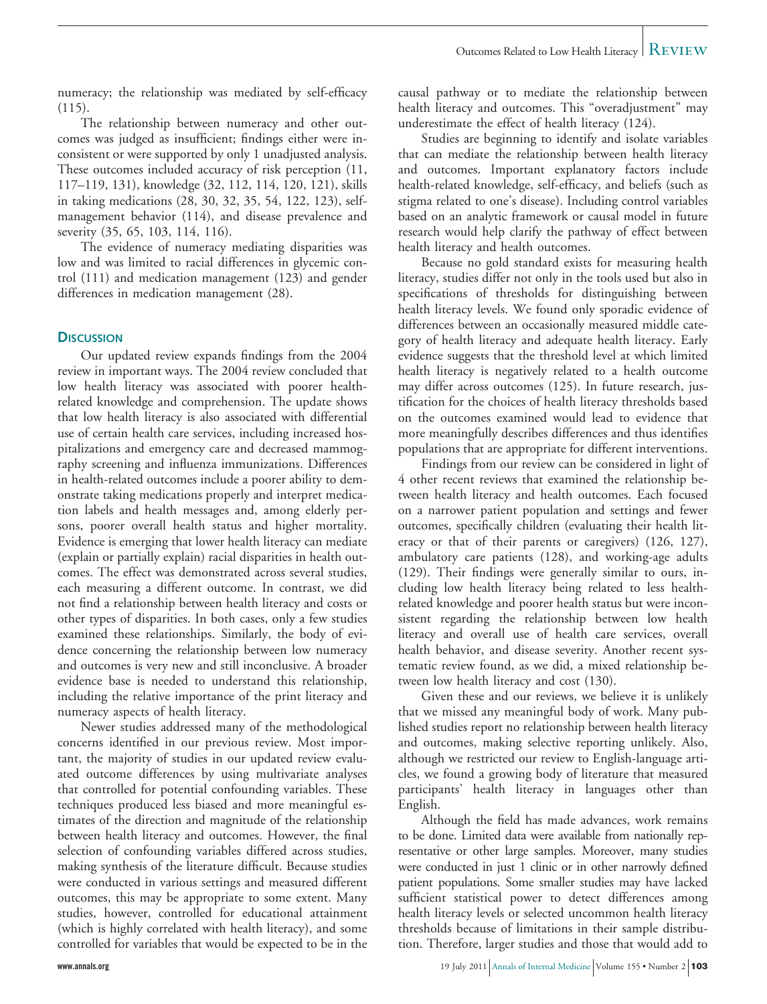numeracy; the relationship was mediated by self-efficacy  $(115)$ .

The relationship between numeracy and other outcomes was judged as insufficient; findings either were inconsistent or were supported by only 1 unadjusted analysis. These outcomes included accuracy of risk perception (11, 117–119, 131), knowledge (32, 112, 114, 120, 121), skills in taking medications (28, 30, 32, 35, 54, 122, 123), selfmanagement behavior (114), and disease prevalence and severity (35, 65, 103, 114, 116).

The evidence of numeracy mediating disparities was low and was limited to racial differences in glycemic control (111) and medication management (123) and gender differences in medication management (28).

# **DISCUSSION**

Our updated review expands findings from the 2004 review in important ways. The 2004 review concluded that low health literacy was associated with poorer healthrelated knowledge and comprehension. The update shows that low health literacy is also associated with differential use of certain health care services, including increased hospitalizations and emergency care and decreased mammography screening and influenza immunizations. Differences in health-related outcomes include a poorer ability to demonstrate taking medications properly and interpret medication labels and health messages and, among elderly persons, poorer overall health status and higher mortality. Evidence is emerging that lower health literacy can mediate (explain or partially explain) racial disparities in health outcomes. The effect was demonstrated across several studies, each measuring a different outcome. In contrast, we did not find a relationship between health literacy and costs or other types of disparities. In both cases, only a few studies examined these relationships. Similarly, the body of evidence concerning the relationship between low numeracy and outcomes is very new and still inconclusive. A broader evidence base is needed to understand this relationship, including the relative importance of the print literacy and numeracy aspects of health literacy.

Newer studies addressed many of the methodological concerns identified in our previous review. Most important, the majority of studies in our updated review evaluated outcome differences by using multivariate analyses that controlled for potential confounding variables. These techniques produced less biased and more meaningful estimates of the direction and magnitude of the relationship between health literacy and outcomes. However, the final selection of confounding variables differed across studies, making synthesis of the literature difficult. Because studies were conducted in various settings and measured different outcomes, this may be appropriate to some extent. Many studies, however, controlled for educational attainment (which is highly correlated with health literacy), and some controlled for variables that would be expected to be in the causal pathway or to mediate the relationship between health literacy and outcomes. This "overadjustment" may underestimate the effect of health literacy (124).

Studies are beginning to identify and isolate variables that can mediate the relationship between health literacy and outcomes. Important explanatory factors include health-related knowledge, self-efficacy, and beliefs (such as stigma related to one's disease). Including control variables based on an analytic framework or causal model in future research would help clarify the pathway of effect between health literacy and health outcomes.

Because no gold standard exists for measuring health literacy, studies differ not only in the tools used but also in specifications of thresholds for distinguishing between health literacy levels. We found only sporadic evidence of differences between an occasionally measured middle category of health literacy and adequate health literacy. Early evidence suggests that the threshold level at which limited health literacy is negatively related to a health outcome may differ across outcomes (125). In future research, justification for the choices of health literacy thresholds based on the outcomes examined would lead to evidence that more meaningfully describes differences and thus identifies populations that are appropriate for different interventions.

Findings from our review can be considered in light of 4 other recent reviews that examined the relationship between health literacy and health outcomes. Each focused on a narrower patient population and settings and fewer outcomes, specifically children (evaluating their health literacy or that of their parents or caregivers) (126, 127), ambulatory care patients (128), and working-age adults (129). Their findings were generally similar to ours, including low health literacy being related to less healthrelated knowledge and poorer health status but were inconsistent regarding the relationship between low health literacy and overall use of health care services, overall health behavior, and disease severity. Another recent systematic review found, as we did, a mixed relationship between low health literacy and cost (130).

Given these and our reviews, we believe it is unlikely that we missed any meaningful body of work. Many published studies report no relationship between health literacy and outcomes, making selective reporting unlikely. Also, although we restricted our review to English-language articles, we found a growing body of literature that measured participants' health literacy in languages other than English.

Although the field has made advances, work remains to be done. Limited data were available from nationally representative or other large samples. Moreover, many studies were conducted in just 1 clinic or in other narrowly defined patient populations. Some smaller studies may have lacked sufficient statistical power to detect differences among health literacy levels or selected uncommon health literacy thresholds because of limitations in their sample distribution. Therefore, larger studies and those that would add to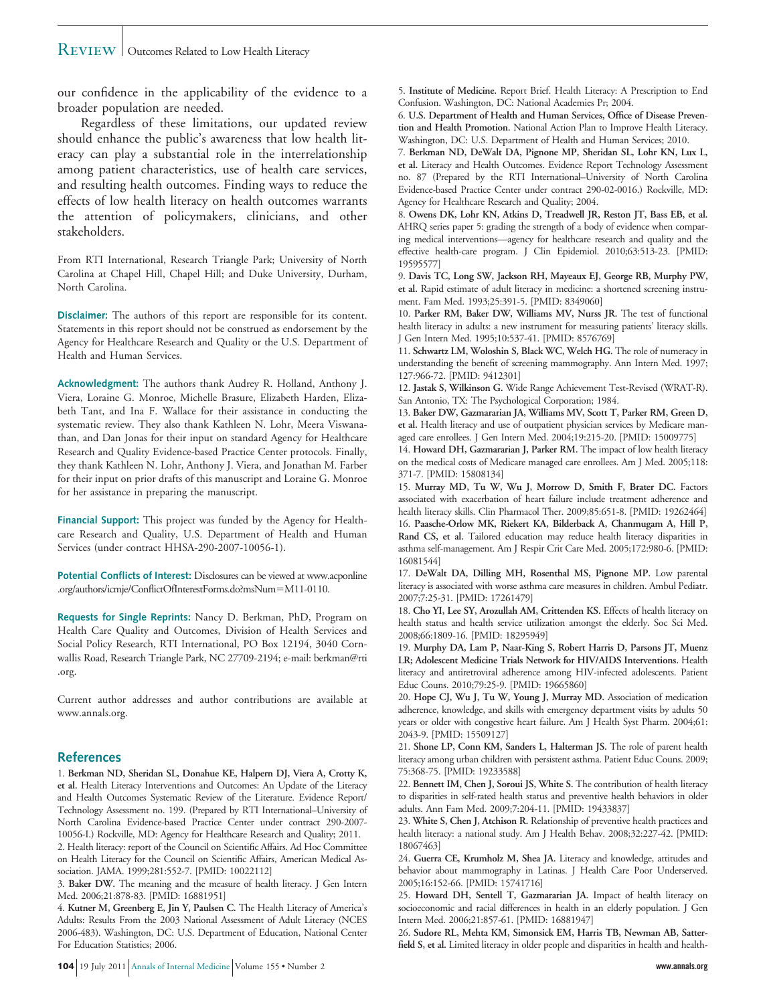our confidence in the applicability of the evidence to a broader population are needed.

Regardless of these limitations, our updated review should enhance the public's awareness that low health literacy can play a substantial role in the interrelationship among patient characteristics, use of health care services, and resulting health outcomes. Finding ways to reduce the effects of low health literacy on health outcomes warrants the attention of policymakers, clinicians, and other stakeholders.

From RTI International, Research Triangle Park; University of North Carolina at Chapel Hill, Chapel Hill; and Duke University, Durham, North Carolina.

**Disclaimer:** The authors of this report are responsible for its content. Statements in this report should not be construed as endorsement by the Agency for Healthcare Research and Quality or the U.S. Department of Health and Human Services.

**Acknowledgment:** The authors thank Audrey R. Holland, Anthony J. Viera, Loraine G. Monroe, Michelle Brasure, Elizabeth Harden, Elizabeth Tant, and Ina F. Wallace for their assistance in conducting the systematic review. They also thank Kathleen N. Lohr, Meera Viswanathan, and Dan Jonas for their input on standard Agency for Healthcare Research and Quality Evidence-based Practice Center protocols. Finally, they thank Kathleen N. Lohr, Anthony J. Viera, and Jonathan M. Farber for their input on prior drafts of this manuscript and Loraine G. Monroe for her assistance in preparing the manuscript.

**Financial Support:** This project was funded by the Agency for Healthcare Research and Quality, U.S. Department of Health and Human Services (under contract HHSA-290-2007-10056-1).

**Potential Conflicts of Interest:** Disclosures can be viewed at www.acponline .org/authors/icmje/ConflictOfInterestForms.do?msNum=M11-0110.

**Requests for Single Reprints:** Nancy D. Berkman, PhD, Program on Health Care Quality and Outcomes, Division of Health Services and Social Policy Research, RTI International, PO Box 12194, 3040 Cornwallis Road, Research Triangle Park, NC 27709-2194; e-mail: berkman@rti .org.

Current author addresses and author contributions are available at www.annals.org.

#### **References**

1. **Berkman ND, Sheridan SL, Donahue KE, Halpern DJ, Viera A, Crotty K, et al.** Health Literacy Interventions and Outcomes: An Update of the Literacy and Health Outcomes Systematic Review of the Literature. Evidence Report/ Technology Assessment no. 199. (Prepared by RTI International–University of North Carolina Evidence-based Practice Center under contract 290-2007- 10056-I.) Rockville, MD: Agency for Healthcare Research and Quality; 2011.

2. Health literacy: report of the Council on Scientific Affairs. Ad Hoc Committee on Health Literacy for the Council on Scientific Affairs, American Medical Association. JAMA. 1999;281:552-7. [PMID: 10022112]

3. **Baker DW.** The meaning and the measure of health literacy. J Gen Intern Med. 2006;21:878-83. [PMID: 16881951]

4. **Kutner M, Greenberg E, Jin Y, Paulsen C.** The Health Literacy of America's Adults: Results From the 2003 National Assessment of Adult Literacy (NCES 2006-483). Washington, DC: U.S. Department of Education, National Center For Education Statistics; 2006.

5. **Institute of Medicine.** Report Brief. Health Literacy: A Prescription to End Confusion. Washington, DC: National Academies Pr; 2004.

6. **U.S. Department of Health and Human Services, Office of Disease Prevention and Health Promotion.** National Action Plan to Improve Health Literacy. Washington, DC: U.S. Department of Health and Human Services; 2010.

7. **Berkman ND, DeWalt DA, Pignone MP, Sheridan SL, Lohr KN, Lux L, et al.** Literacy and Health Outcomes. Evidence Report Technology Assessment no. 87 (Prepared by the RTI International–University of North Carolina Evidence-based Practice Center under contract 290-02-0016.) Rockville, MD: Agency for Healthcare Research and Quality; 2004.

8. **Owens DK, Lohr KN, Atkins D, Treadwell JR, Reston JT, Bass EB, et al.** AHRQ series paper 5: grading the strength of a body of evidence when comparing medical interventions—agency for healthcare research and quality and the effective health-care program. J Clin Epidemiol. 2010;63:513-23. [PMID: 19595577]

9. **Davis TC, Long SW, Jackson RH, Mayeaux EJ, George RB, Murphy PW, et al.** Rapid estimate of adult literacy in medicine: a shortened screening instrument. Fam Med. 1993;25:391-5. [PMID: 8349060]

10. **Parker RM, Baker DW, Williams MV, Nurss JR.** The test of functional health literacy in adults: a new instrument for measuring patients' literacy skills. J Gen Intern Med. 1995;10:537-41. [PMID: 8576769]

11. **Schwartz LM, Woloshin S, Black WC, Welch HG.** The role of numeracy in understanding the benefit of screening mammography. Ann Intern Med. 1997; 127:966-72. [PMID: 9412301]

12. **Jastak S, Wilkinson G.** Wide Range Achievement Test-Revised (WRAT-R). San Antonio, TX: The Psychological Corporation; 1984.

13. **Baker DW, Gazmararian JA, Williams MV, Scott T, Parker RM, Green D, et al.** Health literacy and use of outpatient physician services by Medicare managed care enrollees. J Gen Intern Med. 2004;19:215-20. [PMID: 15009775]

14. **Howard DH, Gazmararian J, Parker RM.** The impact of low health literacy on the medical costs of Medicare managed care enrollees. Am J Med. 2005;118: 371-7. [PMID: 15808134]

15. **Murray MD, Tu W, Wu J, Morrow D, Smith F, Brater DC.** Factors associated with exacerbation of heart failure include treatment adherence and health literacy skills. Clin Pharmacol Ther. 2009;85:651-8. [PMID: 19262464] 16. **Paasche-Orlow MK, Riekert KA, Bilderback A, Chanmugam A, Hill P, Rand CS, et al.** Tailored education may reduce health literacy disparities in asthma self-management. Am J Respir Crit Care Med. 2005;172:980-6. [PMID: 16081544]

17. **DeWalt DA, Dilling MH, Rosenthal MS, Pignone MP.** Low parental literacy is associated with worse asthma care measures in children. Ambul Pediatr. 2007;7:25-31. [PMID: 17261479]

18. **Cho YI, Lee SY, Arozullah AM, Crittenden KS.** Effects of health literacy on health status and health service utilization amongst the elderly. Soc Sci Med. 2008;66:1809-16. [PMID: 18295949]

19. **Murphy DA, Lam P, Naar-King S, Robert Harris D, Parsons JT, Muenz LR; Adolescent Medicine Trials Network for HIV/AIDS Interventions.** Health literacy and antiretroviral adherence among HIV-infected adolescents. Patient Educ Couns. 2010;79:25-9. [PMID: 19665860]

20. **Hope CJ, Wu J, Tu W, Young J, Murray MD.** Association of medication adherence, knowledge, and skills with emergency department visits by adults 50 years or older with congestive heart failure. Am J Health Syst Pharm. 2004;61: 2043-9. [PMID: 15509127]

21. **Shone LP, Conn KM, Sanders L, Halterman JS.** The role of parent health literacy among urban children with persistent asthma. Patient Educ Couns. 2009; 75:368-75. [PMID: 19233588]

22. **Bennett IM, Chen J, Soroui JS, White S.** The contribution of health literacy to disparities in self-rated health status and preventive health behaviors in older adults. Ann Fam Med. 2009;7:204-11. [PMID: 19433837]

23. **White S, Chen J, Atchison R.** Relationship of preventive health practices and health literacy: a national study. Am J Health Behav. 2008;32:227-42. [PMID: 18067463]

24. **Guerra CE, Krumholz M, Shea JA.** Literacy and knowledge, attitudes and behavior about mammography in Latinas. J Health Care Poor Underserved. 2005;16:152-66. [PMID: 15741716]

25. **Howard DH, Sentell T, Gazmararian JA.** Impact of health literacy on socioeconomic and racial differences in health in an elderly population. J Gen Intern Med. 2006;21:857-61. [PMID: 16881947]

26. **Sudore RL, Mehta KM, Simonsick EM, Harris TB, Newman AB, Satterfield S, et al.** Limited literacy in older people and disparities in health and health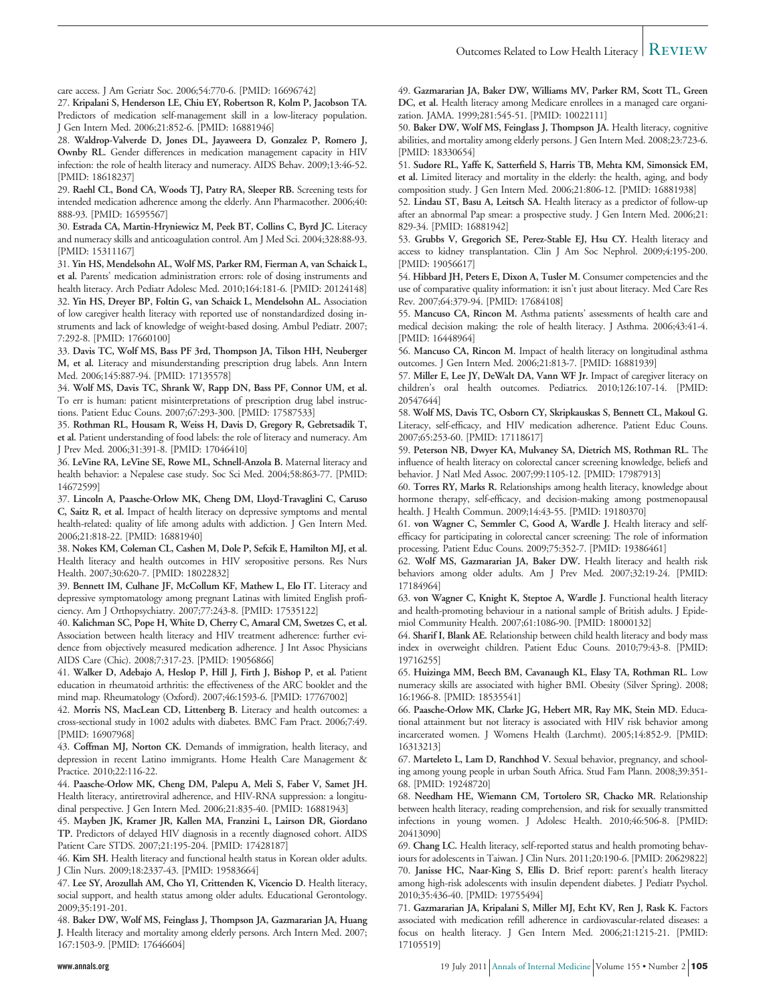care access. J Am Geriatr Soc. 2006;54:770-6. [PMID: 16696742]

27. **Kripalani S, Henderson LE, Chiu EY, Robertson R, Kolm P, Jacobson TA.** Predictors of medication self-management skill in a low-literacy population. J Gen Intern Med. 2006;21:852-6. [PMID: 16881946]

28. **Waldrop-Valverde D, Jones DL, Jayaweera D, Gonzalez P, Romero J, Ownby RL.** Gender differences in medication management capacity in HIV infection: the role of health literacy and numeracy. AIDS Behav. 2009;13:46-52. [PMID: 18618237]

29. **Raehl CL, Bond CA, Woods TJ, Patry RA, Sleeper RB.** Screening tests for intended medication adherence among the elderly. Ann Pharmacother. 2006;40: 888-93. [PMID: 16595567]

30. **Estrada CA, Martin-Hryniewicz M, Peek BT, Collins C, Byrd JC.** Literacy and numeracy skills and anticoagulation control. Am J Med Sci. 2004;328:88-93. [PMID: 15311167]

31. **Yin HS, Mendelsohn AL, Wolf MS, Parker RM, Fierman A, van Schaick L, et al.** Parents' medication administration errors: role of dosing instruments and health literacy. Arch Pediatr Adolesc Med. 2010;164:181-6. [PMID: 20124148] 32. **Yin HS, Dreyer BP, Foltin G, van Schaick L, Mendelsohn AL.** Association of low caregiver health literacy with reported use of nonstandardized dosing instruments and lack of knowledge of weight-based dosing. Ambul Pediatr. 2007; 7:292-8. [PMID: 17660100]

33. **Davis TC, Wolf MS, Bass PF 3rd, Thompson JA, Tilson HH, Neuberger M, et al.** Literacy and misunderstanding prescription drug labels. Ann Intern Med. 2006;145:887-94. [PMID: 17135578]

34. **Wolf MS, Davis TC, Shrank W, Rapp DN, Bass PF, Connor UM, et al.** To err is human: patient misinterpretations of prescription drug label instructions. Patient Educ Couns. 2007;67:293-300. [PMID: 17587533]

35. **Rothman RL, Housam R, Weiss H, Davis D, Gregory R, Gebretsadik T, et al.** Patient understanding of food labels: the role of literacy and numeracy. Am J Prev Med. 2006;31:391-8. [PMID: 17046410]

36. **LeVine RA, LeVine SE, Rowe ML, Schnell-Anzola B.** Maternal literacy and health behavior: a Nepalese case study. Soc Sci Med. 2004;58:863-77. [PMID: 14672599]

37. **Lincoln A, Paasche-Orlow MK, Cheng DM, Lloyd-Travaglini C, Caruso C, Saitz R, et al.** Impact of health literacy on depressive symptoms and mental health-related: quality of life among adults with addiction. J Gen Intern Med. 2006;21:818-22. [PMID: 16881940]

38. **Nokes KM, Coleman CL, Cashen M, Dole P, Sefcik E, Hamilton MJ, et al.** Health literacy and health outcomes in HIV seropositive persons. Res Nurs Health. 2007;30:620-7. [PMID: 18022832]

39. **Bennett IM, Culhane JF, McCollum KF, Mathew L, Elo IT.** Literacy and depressive symptomatology among pregnant Latinas with limited English proficiency. Am J Orthopsychiatry. 2007;77:243-8. [PMID: 17535122]

40. **Kalichman SC, Pope H, White D, Cherry C, Amaral CM, Swetzes C, et al.** Association between health literacy and HIV treatment adherence: further evidence from objectively measured medication adherence. J Int Assoc Physicians AIDS Care (Chic). 2008;7:317-23. [PMID: 19056866]

41. **Walker D, Adebajo A, Heslop P, Hill J, Firth J, Bishop P, et al.** Patient education in rheumatoid arthritis: the effectiveness of the ARC booklet and the mind map. Rheumatology (Oxford). 2007;46:1593-6. [PMID: 17767002]

42. **Morris NS, MacLean CD, Littenberg B.** Literacy and health outcomes: a cross-sectional study in 1002 adults with diabetes. BMC Fam Pract. 2006;7:49. [PMID: 16907968]

43. **Coffman MJ, Norton CK.** Demands of immigration, health literacy, and depression in recent Latino immigrants. Home Health Care Management & Practice. 2010;22:116-22.

44. **Paasche-Orlow MK, Cheng DM, Palepu A, Meli S, Faber V, Samet JH.** Health literacy, antiretroviral adherence, and HIV-RNA suppression: a longitudinal perspective. J Gen Intern Med. 2006;21:835-40. [PMID: 16881943]

45. **Mayben JK, Kramer JR, Kallen MA, Franzini L, Lairson DR, Giordano TP.** Predictors of delayed HIV diagnosis in a recently diagnosed cohort. AIDS Patient Care STDS. 2007;21:195-204. [PMID: 17428187]

46. **Kim SH.** Health literacy and functional health status in Korean older adults. J Clin Nurs. 2009;18:2337-43. [PMID: 19583664]

47. **Lee SY, Arozullah AM, Cho YI, Crittenden K, Vicencio D.** Health literacy, social support, and health status among older adults. Educational Gerontology. 2009;35:191-201.

48. **Baker DW, Wolf MS, Feinglass J, Thompson JA, Gazmararian JA, Huang J.** Health literacy and mortality among elderly persons. Arch Intern Med. 2007; 167:1503-9. [PMID: 17646604]

49. **Gazmararian JA, Baker DW, Williams MV, Parker RM, Scott TL, Green DC, et al.** Health literacy among Medicare enrollees in a managed care organization. JAMA. 1999;281:545-51. [PMID: 10022111]

50. **Baker DW, Wolf MS, Feinglass J, Thompson JA.** Health literacy, cognitive abilities, and mortality among elderly persons. J Gen Intern Med. 2008;23:723-6. [PMID: 18330654]

51. **Sudore RL, Yaffe K, Satterfield S, Harris TB, Mehta KM, Simonsick EM, et al.** Limited literacy and mortality in the elderly: the health, aging, and body composition study. J Gen Intern Med. 2006;21:806-12. [PMID: 16881938]

52. **Lindau ST, Basu A, Leitsch SA.** Health literacy as a predictor of follow-up after an abnormal Pap smear: a prospective study. J Gen Intern Med. 2006;21: 829-34. [PMID: 16881942]

53. **Grubbs V, Gregorich SE, Perez-Stable EJ, Hsu CY.** Health literacy and access to kidney transplantation. Clin J Am Soc Nephrol. 2009;4:195-200. [PMID: 19056617]

54. **Hibbard JH, Peters E, Dixon A, Tusler M.** Consumer competencies and the use of comparative quality information: it isn't just about literacy. Med Care Res Rev. 2007;64:379-94. [PMID: 17684108]

55. **Mancuso CA, Rincon M.** Asthma patients' assessments of health care and medical decision making: the role of health literacy. J Asthma. 2006;43:41-4. [PMID: 16448964]

56. **Mancuso CA, Rincon M.** Impact of health literacy on longitudinal asthma outcomes. J Gen Intern Med. 2006;21:813-7. [PMID: 16881939]

57. **Miller E, Lee JY, DeWalt DA, Vann WF Jr.** Impact of caregiver literacy on children's oral health outcomes. Pediatrics. 2010;126:107-14. [PMID: 20547644]

58. **Wolf MS, Davis TC, Osborn CY, Skripkauskas S, Bennett CL, Makoul G.** Literacy, self-efficacy, and HIV medication adherence. Patient Educ Couns. 2007;65:253-60. [PMID: 17118617]

59. **Peterson NB, Dwyer KA, Mulvaney SA, Dietrich MS, Rothman RL.** The influence of health literacy on colorectal cancer screening knowledge, beliefs and behavior. J Natl Med Assoc. 2007;99:1105-12. [PMID: 17987913]

60. **Torres RY, Marks R.** Relationships among health literacy, knowledge about hormone therapy, self-efficacy, and decision-making among postmenopausal health. J Health Commun. 2009;14:43-55. [PMID: 19180370]

61. **von Wagner C, Semmler C, Good A, Wardle J.** Health literacy and selfefficacy for participating in colorectal cancer screening: The role of information processing. Patient Educ Couns. 2009;75:352-7. [PMID: 19386461]

62. **Wolf MS, Gazmararian JA, Baker DW.** Health literacy and health risk behaviors among older adults. Am J Prev Med. 2007;32:19-24. [PMID: 17184964]

63. **von Wagner C, Knight K, Steptoe A, Wardle J.** Functional health literacy and health-promoting behaviour in a national sample of British adults. J Epidemiol Community Health. 2007;61:1086-90. [PMID: 18000132]

64. **Sharif I, Blank AE.** Relationship between child health literacy and body mass index in overweight children. Patient Educ Couns. 2010;79:43-8. [PMID: 19716255]

65. **Huizinga MM, Beech BM, Cavanaugh KL, Elasy TA, Rothman RL.** Low numeracy skills are associated with higher BMI. Obesity (Silver Spring). 2008; 16:1966-8. [PMID: 18535541]

66. **Paasche-Orlow MK, Clarke JG, Hebert MR, Ray MK, Stein MD.** Educational attainment but not literacy is associated with HIV risk behavior among incarcerated women. J Womens Health (Larchmt). 2005;14:852-9. [PMID: 16313213]

67. **Marteleto L, Lam D, Ranchhod V.** Sexual behavior, pregnancy, and schooling among young people in urban South Africa. Stud Fam Plann. 2008;39:351- 68. [PMID: 19248720]

68. **Needham HE, Wiemann CM, Tortolero SR, Chacko MR.** Relationship between health literacy, reading comprehension, and risk for sexually transmitted infections in young women. J Adolesc Health. 2010;46:506-8. [PMID: 20413090]

69. **Chang LC.** Health literacy, self-reported status and health promoting behaviours for adolescents in Taiwan. J Clin Nurs. 2011;20:190-6. [PMID: 20629822] 70. **Janisse HC, Naar-King S, Ellis D.** Brief report: parent's health literacy among high-risk adolescents with insulin dependent diabetes. J Pediatr Psychol. 2010;35:436-40. [PMID: 19755494]

71. **Gazmararian JA, Kripalani S, Miller MJ, Echt KV, Ren J, Rask K.** Factors associated with medication refill adherence in cardiovascular-related diseases: a focus on health literacy. J Gen Intern Med. 2006;21:1215-21. [PMID: 17105519]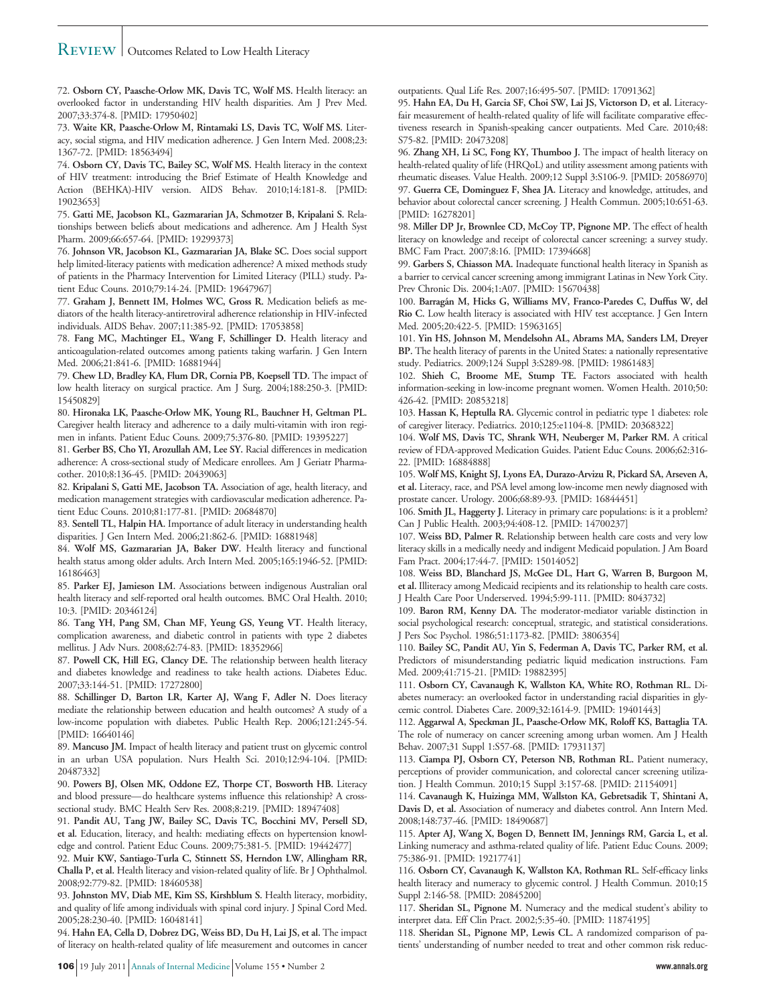72. **Osborn CY, Paasche-Orlow MK, Davis TC, Wolf MS.** Health literacy: an overlooked factor in understanding HIV health disparities. Am J Prev Med. 2007;33:374-8. [PMID: 17950402]

73. **Waite KR, Paasche-Orlow M, Rintamaki LS, Davis TC, Wolf MS.** Literacy, social stigma, and HIV medication adherence. J Gen Intern Med. 2008;23: 1367-72. [PMID: 18563494]

74. **Osborn CY, Davis TC, Bailey SC, Wolf MS.** Health literacy in the context of HIV treatment: introducing the Brief Estimate of Health Knowledge and Action (BEHKA)-HIV version. AIDS Behav. 2010;14:181-8. [PMID: 19023653]

75. **Gatti ME, Jacobson KL, Gazmararian JA, Schmotzer B, Kripalani S.** Relationships between beliefs about medications and adherence. Am J Health Syst Pharm. 2009;66:657-64. [PMID: 19299373]

76. **Johnson VR, Jacobson KL, Gazmararian JA, Blake SC.** Does social support help limited-literacy patients with medication adherence? A mixed methods study of patients in the Pharmacy Intervention for Limited Literacy (PILL) study. Patient Educ Couns. 2010;79:14-24. [PMID: 19647967]

77. **Graham J, Bennett IM, Holmes WC, Gross R.** Medication beliefs as mediators of the health literacy-antiretroviral adherence relationship in HIV-infected individuals. AIDS Behav. 2007;11:385-92. [PMID: 17053858]

78. **Fang MC, Machtinger EL, Wang F, Schillinger D.** Health literacy and anticoagulation-related outcomes among patients taking warfarin. J Gen Intern Med. 2006;21:841-6. [PMID: 16881944]

79. **Chew LD, Bradley KA, Flum DR, Cornia PB, Koepsell TD.** The impact of low health literacy on surgical practice. Am J Surg. 2004;188:250-3. [PMID: 15450829]

80. **Hironaka LK, Paasche-Orlow MK, Young RL, Bauchner H, Geltman PL.** Caregiver health literacy and adherence to a daily multi-vitamin with iron regimen in infants. Patient Educ Couns. 2009;75:376-80. [PMID: 19395227]

81. **Gerber BS, Cho YI, Arozullah AM, Lee SY.** Racial differences in medication adherence: A cross-sectional study of Medicare enrollees. Am J Geriatr Pharmacother. 2010;8:136-45. [PMID: 20439063]

82. **Kripalani S, Gatti ME, Jacobson TA.** Association of age, health literacy, and medication management strategies with cardiovascular medication adherence. Patient Educ Couns. 2010;81:177-81. [PMID: 20684870]

83. **Sentell TL, Halpin HA.** Importance of adult literacy in understanding health disparities. J Gen Intern Med. 2006;21:862-6. [PMID: 16881948]

84. **Wolf MS, Gazmararian JA, Baker DW.** Health literacy and functional health status among older adults. Arch Intern Med. 2005;165:1946-52. [PMID: 16186463]

85. **Parker EJ, Jamieson LM.** Associations between indigenous Australian oral health literacy and self-reported oral health outcomes. BMC Oral Health. 2010; 10:3. [PMID: 20346124]

86. **Tang YH, Pang SM, Chan MF, Yeung GS, Yeung VT.** Health literacy, complication awareness, and diabetic control in patients with type 2 diabetes mellitus. J Adv Nurs. 2008;62:74-83. [PMID: 18352966]

87. **Powell CK, Hill EG, Clancy DE.** The relationship between health literacy and diabetes knowledge and readiness to take health actions. Diabetes Educ. 2007;33:144-51. [PMID: 17272800]

88. **Schillinger D, Barton LR, Karter AJ, Wang F, Adler N.** Does literacy mediate the relationship between education and health outcomes? A study of a low-income population with diabetes. Public Health Rep. 2006;121:245-54. [PMID: 16640146]

89. **Mancuso JM.** Impact of health literacy and patient trust on glycemic control in an urban USA population. Nurs Health Sci. 2010;12:94-104. [PMID: 20487332]

90. **Powers BJ, Olsen MK, Oddone EZ, Thorpe CT, Bosworth HB.** Literacy and blood pressure—do healthcare systems influence this relationship? A crosssectional study. BMC Health Serv Res. 2008;8:219. [PMID: 18947408]

91. **Pandit AU, Tang JW, Bailey SC, Davis TC, Bocchini MV, Persell SD, et al.** Education, literacy, and health: mediating effects on hypertension knowledge and control. Patient Educ Couns. 2009;75:381-5. [PMID: 19442477]

92. **Muir KW, Santiago-Turla C, Stinnett SS, Herndon LW, Allingham RR, Challa P, et al.** Health literacy and vision-related quality of life. Br J Ophthalmol. 2008;92:779-82. [PMID: 18460538]

93. **Johnston MV, Diab ME, Kim SS, Kirshblum S.** Health literacy, morbidity, and quality of life among individuals with spinal cord injury. J Spinal Cord Med. 2005;28:230-40. [PMID: 16048141]

94. **Hahn EA, Cella D, Dobrez DG, Weiss BD, Du H, Lai JS, et al.** The impact of literacy on health-related quality of life measurement and outcomes in cancer outpatients. Qual Life Res. 2007;16:495-507. [PMID: 17091362]

95. **Hahn EA, Du H, Garcia SF, Choi SW, Lai JS, Victorson D, et al.** Literacyfair measurement of health-related quality of life will facilitate comparative effectiveness research in Spanish-speaking cancer outpatients. Med Care. 2010;48: S75-82. [PMID: 20473208]

96. **Zhang XH, Li SC, Fong KY, Thumboo J.** The impact of health literacy on health-related quality of life (HRQoL) and utility assessment among patients with rheumatic diseases. Value Health. 2009;12 Suppl 3:S106-9. [PMID: 20586970] 97. **Guerra CE, Dominguez F, Shea JA.** Literacy and knowledge, attitudes, and behavior about colorectal cancer screening. J Health Commun. 2005;10:651-63. [PMID: 16278201]

98. **Miller DP Jr, Brownlee CD, McCoy TP, Pignone MP.** The effect of health literacy on knowledge and receipt of colorectal cancer screening: a survey study. BMC Fam Pract. 2007;8:16. [PMID: 17394668]

99. **Garbers S, Chiasson MA.** Inadequate functional health literacy in Spanish as a barrier to cervical cancer screening among immigrant Latinas in New York City. Prev Chronic Dis. 2004;1:A07. [PMID: 15670438]

100. Barragán M, Hicks G, Williams MV, Franco-Paredes C, Duffus W, del **Rio C.** Low health literacy is associated with HIV test acceptance. J Gen Intern Med. 2005;20:422-5. [PMID: 15963165]

101. **Yin HS, Johnson M, Mendelsohn AL, Abrams MA, Sanders LM, Dreyer BP.** The health literacy of parents in the United States: a nationally representative study. Pediatrics. 2009;124 Suppl 3:S289-98. [PMID: 19861483]

102. **Shieh C, Broome ME, Stump TE.** Factors associated with health information-seeking in low-income pregnant women. Women Health. 2010;50: 426-42. [PMID: 20853218]

103. **Hassan K, Heptulla RA.** Glycemic control in pediatric type 1 diabetes: role of caregiver literacy. Pediatrics. 2010;125:e1104-8. [PMID: 20368322]

104. **Wolf MS, Davis TC, Shrank WH, Neuberger M, Parker RM.** A critical review of FDA-approved Medication Guides. Patient Educ Couns. 2006;62:316- 22. [PMID: 16884888]

105. **Wolf MS, Knight SJ, Lyons EA, Durazo-Arvizu R, Pickard SA, Arseven A, et al.** Literacy, race, and PSA level among low-income men newly diagnosed with prostate cancer. Urology. 2006;68:89-93. [PMID: 16844451]

106. **Smith JL, Haggerty J.** Literacy in primary care populations: is it a problem? Can J Public Health. 2003;94:408-12. [PMID: 14700237]

107. **Weiss BD, Palmer R.** Relationship between health care costs and very low literacy skills in a medically needy and indigent Medicaid population. J Am Board Fam Pract. 2004;17:44-7. [PMID: 15014052]

108. **Weiss BD, Blanchard JS, McGee DL, Hart G, Warren B, Burgoon M, et al.** Illiteracy among Medicaid recipients and its relationship to health care costs. J Health Care Poor Underserved. 1994;5:99-111. [PMID: 8043732]

109. **Baron RM, Kenny DA.** The moderator-mediator variable distinction in social psychological research: conceptual, strategic, and statistical considerations. J Pers Soc Psychol. 1986;51:1173-82. [PMID: 3806354]

110. **Bailey SC, Pandit AU, Yin S, Federman A, Davis TC, Parker RM, et al.** Predictors of misunderstanding pediatric liquid medication instructions. Fam Med. 2009;41:715-21. [PMID: 19882395]

111. **Osborn CY, Cavanaugh K, Wallston KA, White RO, Rothman RL.** Diabetes numeracy: an overlooked factor in understanding racial disparities in glycemic control. Diabetes Care. 2009;32:1614-9. [PMID: 19401443]

112. **Aggarwal A, Speckman JL, Paasche-Orlow MK, Roloff KS, Battaglia TA.** The role of numeracy on cancer screening among urban women. Am J Health Behav. 2007;31 Suppl 1:S57-68. [PMID: 17931137]

113. **Ciampa PJ, Osborn CY, Peterson NB, Rothman RL.** Patient numeracy, perceptions of provider communication, and colorectal cancer screening utilization. J Health Commun. 2010;15 Suppl 3:157-68. [PMID: 21154091]

114. **Cavanaugh K, Huizinga MM, Wallston KA, Gebretsadik T, Shintani A, Davis D, et al.** Association of numeracy and diabetes control. Ann Intern Med. 2008;148:737-46. [PMID: 18490687]

115. **Apter AJ, Wang X, Bogen D, Bennett IM, Jennings RM, Garcia L, et al.** Linking numeracy and asthma-related quality of life. Patient Educ Couns. 2009; 75:386-91. [PMID: 19217741]

116. **Osborn CY, Cavanaugh K, Wallston KA, Rothman RL.** Self-efficacy links health literacy and numeracy to glycemic control. J Health Commun. 2010;15 Suppl 2:146-58. [PMID: 20845200]

117. **Sheridan SL, Pignone M.** Numeracy and the medical student's ability to interpret data. Eff Clin Pract. 2002;5:35-40. [PMID: 11874195]

118. **Sheridan SL, Pignone MP, Lewis CL.** A randomized comparison of patients' understanding of number needed to treat and other common risk reduc-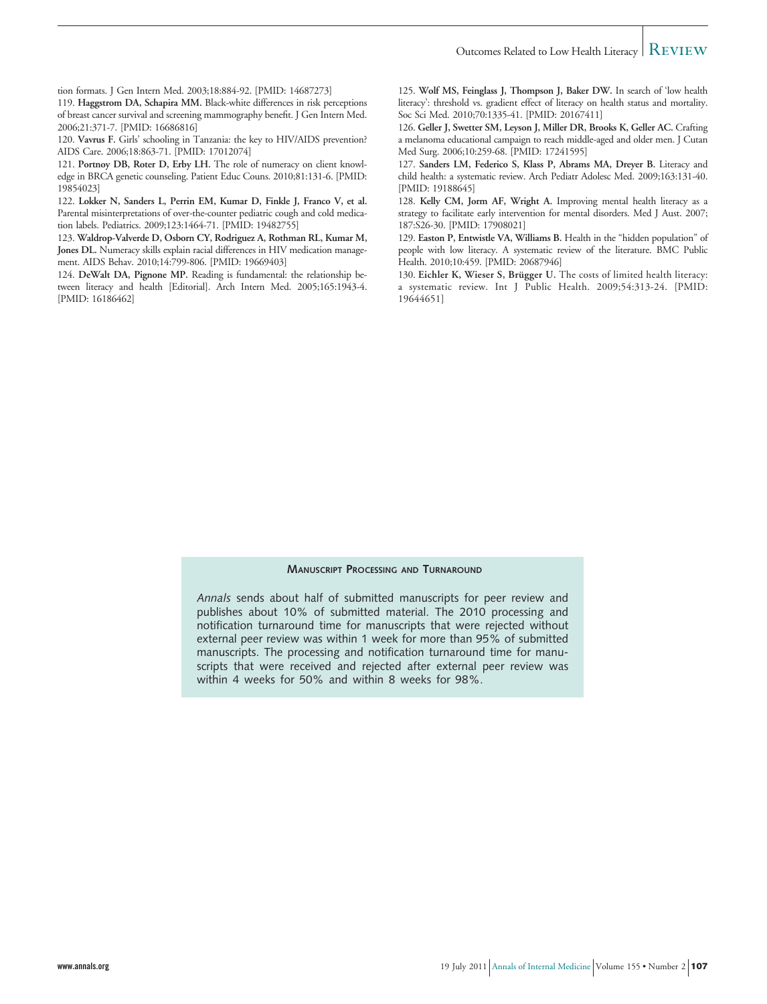# Outcomes Related to Low Health Literacy | REVIEW

tion formats. J Gen Intern Med. 2003;18:884-92. [PMID: 14687273]

119. **Haggstrom DA, Schapira MM.** Black-white differences in risk perceptions of breast cancer survival and screening mammography benefit. J Gen Intern Med. 2006;21:371-7. [PMID: 16686816]

120. **Vavrus F.** Girls' schooling in Tanzania: the key to HIV/AIDS prevention? AIDS Care. 2006;18:863-71. [PMID: 17012074]

121. **Portnoy DB, Roter D, Erby LH.** The role of numeracy on client knowledge in BRCA genetic counseling. Patient Educ Couns. 2010;81:131-6. [PMID: 19854023]

122. **Lokker N, Sanders L, Perrin EM, Kumar D, Finkle J, Franco V, et al.** Parental misinterpretations of over-the-counter pediatric cough and cold medication labels. Pediatrics. 2009;123:1464-71. [PMID: 19482755]

123. **Waldrop-Valverde D, Osborn CY, Rodriguez A, Rothman RL, Kumar M, Jones DL.** Numeracy skills explain racial differences in HIV medication management. AIDS Behav. 2010;14:799-806. [PMID: 19669403]

124. **DeWalt DA, Pignone MP.** Reading is fundamental: the relationship between literacy and health [Editorial]. Arch Intern Med. 2005;165:1943-4. [PMID: 16186462]

125. **Wolf MS, Feinglass J, Thompson J, Baker DW.** In search of 'low health literacy': threshold vs. gradient effect of literacy on health status and mortality. Soc Sci Med. 2010;70:1335-41. [PMID: 20167411]

126. **Geller J, Swetter SM, Leyson J, Miller DR, Brooks K, Geller AC.** Crafting a melanoma educational campaign to reach middle-aged and older men. J Cutan Med Surg. 2006;10:259-68. [PMID: 17241595]

127. **Sanders LM, Federico S, Klass P, Abrams MA, Dreyer B.** Literacy and child health: a systematic review. Arch Pediatr Adolesc Med. 2009;163:131-40. [PMID: 19188645]

128. **Kelly CM, Jorm AF, Wright A.** Improving mental health literacy as a strategy to facilitate early intervention for mental disorders. Med J Aust. 2007; 187:S26-30. [PMID: 17908021]

129. **Easton P, Entwistle VA, Williams B.** Health in the "hidden population" of people with low literacy. A systematic review of the literature. BMC Public Health. 2010;10:459. [PMID: 20687946]

130. Eichler K, Wieser S, Brügger U. The costs of limited health literacy: a systematic review. Int J Public Health. 2009;54:313-24. [PMID: 19644651]

#### **MANUSCRIPT PROCESSING AND TURNAROUND**

*Annals* sends about half of submitted manuscripts for peer review and publishes about 10% of submitted material. The 2010 processing and notification turnaround time for manuscripts that were rejected without external peer review was within 1 week for more than 95% of submitted manuscripts. The processing and notification turnaround time for manuscripts that were received and rejected after external peer review was within 4 weeks for 50% and within 8 weeks for 98%.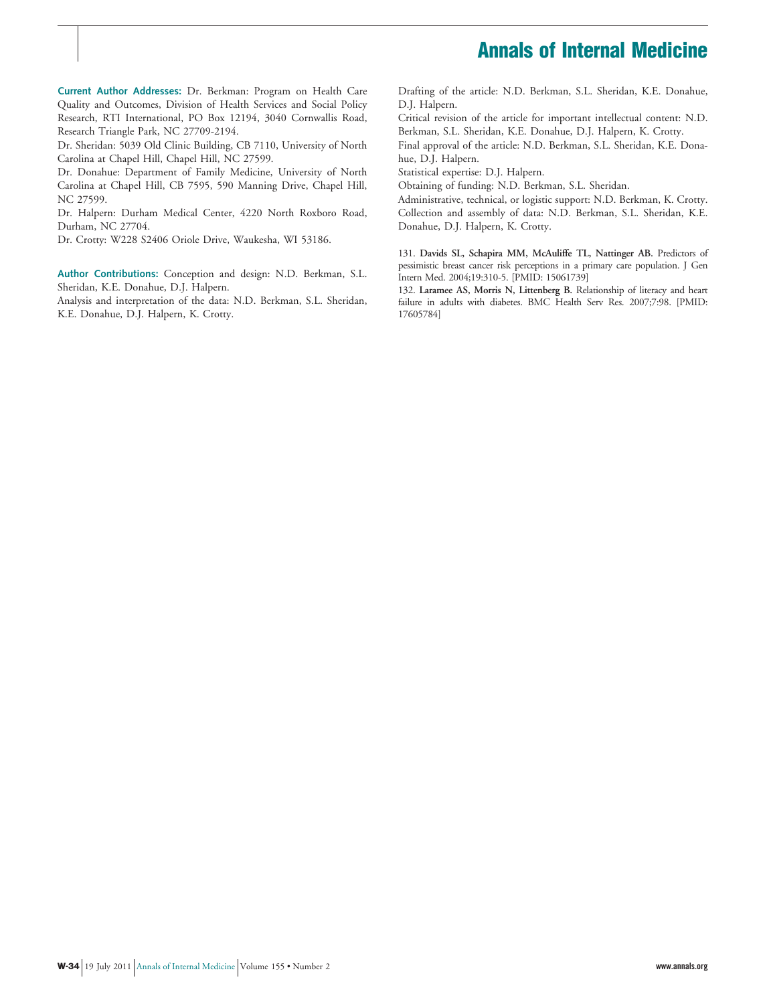# **Annals of Internal Medicine**

**Current Author Addresses:** Dr. Berkman: Program on Health Care Quality and Outcomes, Division of Health Services and Social Policy Research, RTI International, PO Box 12194, 3040 Cornwallis Road, Research Triangle Park, NC 27709-2194.

Dr. Sheridan: 5039 Old Clinic Building, CB 7110, University of North Carolina at Chapel Hill, Chapel Hill, NC 27599.

Dr. Donahue: Department of Family Medicine, University of North Carolina at Chapel Hill, CB 7595, 590 Manning Drive, Chapel Hill, NC 27599.

Dr. Halpern: Durham Medical Center, 4220 North Roxboro Road, Durham, NC 27704.

Dr. Crotty: W228 S2406 Oriole Drive, Waukesha, WI 53186.

**Author Contributions:** Conception and design: N.D. Berkman, S.L. Sheridan, K.E. Donahue, D.J. Halpern.

Analysis and interpretation of the data: N.D. Berkman, S.L. Sheridan, K.E. Donahue, D.J. Halpern, K. Crotty.

Drafting of the article: N.D. Berkman, S.L. Sheridan, K.E. Donahue, D.J. Halpern.

Critical revision of the article for important intellectual content: N.D. Berkman, S.L. Sheridan, K.E. Donahue, D.J. Halpern, K. Crotty.

Final approval of the article: N.D. Berkman, S.L. Sheridan, K.E. Donahue, D.J. Halpern.

Statistical expertise: D.J. Halpern.

Obtaining of funding: N.D. Berkman, S.L. Sheridan.

Administrative, technical, or logistic support: N.D. Berkman, K. Crotty. Collection and assembly of data: N.D. Berkman, S.L. Sheridan, K.E. Donahue, D.J. Halpern, K. Crotty.

131. **Davids SL, Schapira MM, McAuliffe TL, Nattinger AB.** Predictors of pessimistic breast cancer risk perceptions in a primary care population. J Gen Intern Med. 2004;19:310-5. [PMID: 15061739]

132. **Laramee AS, Morris N, Littenberg B.** Relationship of literacy and heart failure in adults with diabetes. BMC Health Serv Res. 2007;7:98. [PMID: 17605784]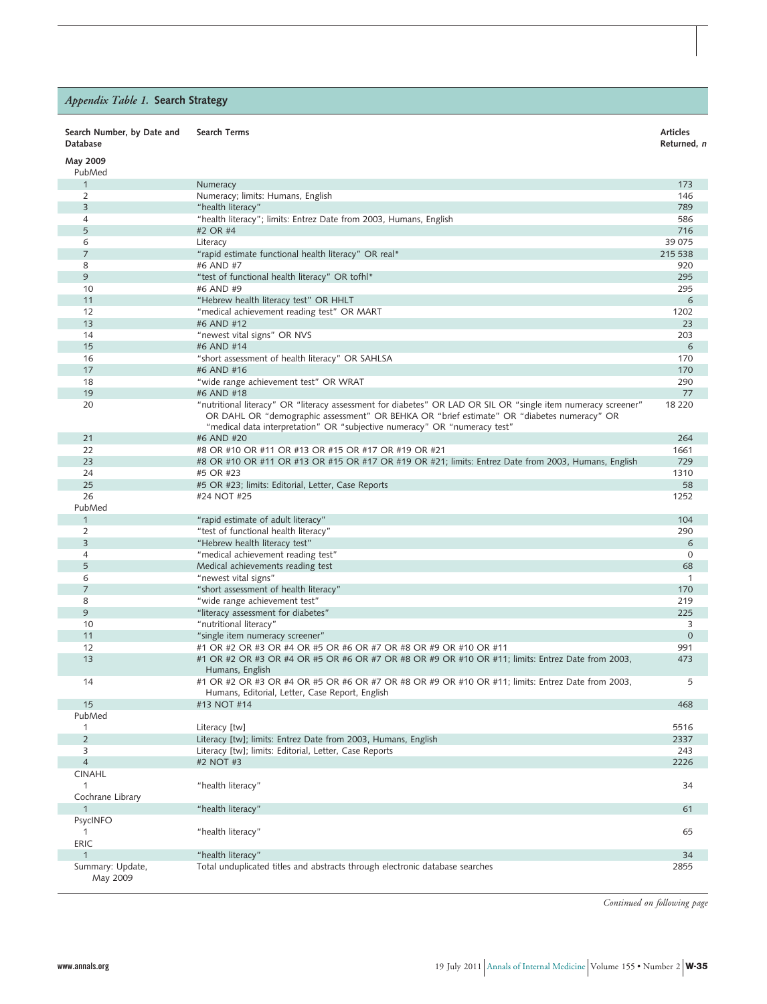# *Appendix Table 1.* **Search Strategy**

| Search Number, by Date and<br>Database | <b>Search Terms</b>                                                                                                                                                                                                                                                                      | <b>Articles</b><br>Returned, n |
|----------------------------------------|------------------------------------------------------------------------------------------------------------------------------------------------------------------------------------------------------------------------------------------------------------------------------------------|--------------------------------|
| May 2009<br>PubMed                     |                                                                                                                                                                                                                                                                                          |                                |
| $\mathbf{1}$                           | Numeracy                                                                                                                                                                                                                                                                                 | 173                            |
| 2                                      | Numeracy; limits: Humans, English                                                                                                                                                                                                                                                        | 146                            |
| 3                                      | "health literacy"                                                                                                                                                                                                                                                                        | 789                            |
| 4                                      | "health literacy"; limits: Entrez Date from 2003, Humans, English                                                                                                                                                                                                                        | 586                            |
| 5                                      | #2 OR #4                                                                                                                                                                                                                                                                                 | 716                            |
| 6                                      | Literacy                                                                                                                                                                                                                                                                                 | 39 0 75                        |
| $\overline{7}$                         | "rapid estimate functional health literacy" OR real*                                                                                                                                                                                                                                     | 215 538                        |
| 8                                      | #6 AND #7                                                                                                                                                                                                                                                                                | 920                            |
| 9                                      | "test of functional health literacy" OR tofhl*                                                                                                                                                                                                                                           | 295                            |
| 10                                     | #6 AND #9                                                                                                                                                                                                                                                                                | 295                            |
| 11                                     | "Hebrew health literacy test" OR HHLT                                                                                                                                                                                                                                                    | 6                              |
| 12                                     | "medical achievement reading test" OR MART                                                                                                                                                                                                                                               | 1202                           |
| 13                                     | #6 AND #12                                                                                                                                                                                                                                                                               | 23                             |
| 14                                     | "newest vital signs" OR NVS                                                                                                                                                                                                                                                              | 203                            |
| 15                                     | #6 AND #14                                                                                                                                                                                                                                                                               | 6                              |
| 16                                     | "short assessment of health literacy" OR SAHLSA                                                                                                                                                                                                                                          | 170                            |
| 17                                     | #6 AND #16                                                                                                                                                                                                                                                                               | 170                            |
| 18                                     | "wide range achievement test" OR WRAT                                                                                                                                                                                                                                                    | 290                            |
| 19                                     | #6 AND #18                                                                                                                                                                                                                                                                               | 77                             |
| 20                                     | "nutritional literacy" OR "literacy assessment for diabetes" OR LAD OR SIL OR "single item numeracy screener"<br>OR DAHL OR "demographic assessment" OR BEHKA OR "brief estimate" OR "diabetes numeracy" OR<br>"medical data interpretation" OR "subjective numeracy" OR "numeracy test" | 18 2 20                        |
| 21                                     | #6 AND #20                                                                                                                                                                                                                                                                               | 264                            |
| 22                                     | #8 OR #10 OR #11 OR #13 OR #15 OR #17 OR #19 OR #21                                                                                                                                                                                                                                      | 1661                           |
| 23                                     | #8 OR #10 OR #11 OR #13 OR #15 OR #17 OR #19 OR #21; limits: Entrez Date from 2003, Humans, English                                                                                                                                                                                      | 729                            |
| 24                                     | #5 OR #23                                                                                                                                                                                                                                                                                | 1310                           |
| 25                                     | #5 OR #23; limits: Editorial, Letter, Case Reports                                                                                                                                                                                                                                       | 58                             |
| 26                                     | #24 NOT #25                                                                                                                                                                                                                                                                              | 1252                           |
| PubMed                                 |                                                                                                                                                                                                                                                                                          |                                |
| 1                                      | "rapid estimate of adult literacy"                                                                                                                                                                                                                                                       | 104                            |
| 2                                      | "test of functional health literacy"                                                                                                                                                                                                                                                     | 290                            |
| 3                                      | "Hebrew health literacy test"                                                                                                                                                                                                                                                            | 6                              |
| 4                                      | "medical achievement reading test"                                                                                                                                                                                                                                                       | 0                              |
| 5                                      | Medical achievements reading test                                                                                                                                                                                                                                                        | 68                             |
| 6                                      | "newest vital signs"                                                                                                                                                                                                                                                                     | 1                              |
| $\overline{7}$                         | "short assessment of health literacy"                                                                                                                                                                                                                                                    | 170                            |
| 8                                      | "wide range achievement test"                                                                                                                                                                                                                                                            | 219                            |
| 9                                      | "literacy assessment for diabetes"                                                                                                                                                                                                                                                       | 225                            |
| 10                                     | "nutritional literacy"                                                                                                                                                                                                                                                                   | 3                              |
| 11                                     | "single item numeracy screener"                                                                                                                                                                                                                                                          | $\mathbf{0}$                   |
| 12                                     | #1 OR #2 OR #3 OR #4 OR #5 OR #6 OR #7 OR #8 OR #9 OR #10 OR #11                                                                                                                                                                                                                         | 991                            |
| 13                                     | #1 OR #2 OR #3 OR #4 OR #5 OR #6 OR #7 OR #8 OR #9 OR #10 OR #11; limits: Entrez Date from 2003,<br>Humans, English                                                                                                                                                                      | 473                            |
| 14                                     | #1 OR #2 OR #3 OR #4 OR #5 OR #6 OR #7 OR #8 OR #9 OR #10 OR #11; limits: Entrez Date from 2003,<br>Humans, Editorial, Letter, Case Report, English                                                                                                                                      | 5                              |
| 15                                     | #13 NOT #14                                                                                                                                                                                                                                                                              | 468                            |
| PubMed<br>1                            | Literacy [tw]                                                                                                                                                                                                                                                                            | 5516                           |
| $\overline{2}$                         | Literacy [tw]; limits: Entrez Date from 2003, Humans, English                                                                                                                                                                                                                            | 2337                           |
| 3                                      | Literacy [tw]; limits: Editorial, Letter, Case Reports                                                                                                                                                                                                                                   | 243                            |
| $\overline{4}$                         | #2 NOT #3                                                                                                                                                                                                                                                                                | 2226                           |
| <b>CINAHL</b>                          |                                                                                                                                                                                                                                                                                          |                                |
| 1                                      | "health literacy"                                                                                                                                                                                                                                                                        | 34                             |
| Cochrane Library                       |                                                                                                                                                                                                                                                                                          |                                |
| $\mathbf{1}$                           | "health literacy"                                                                                                                                                                                                                                                                        | 61                             |
| PsycINFO                               |                                                                                                                                                                                                                                                                                          |                                |
| $\mathbf{1}$                           | "health literacy"                                                                                                                                                                                                                                                                        | 65                             |
| ERIC                                   |                                                                                                                                                                                                                                                                                          |                                |
| $\mathbf{1}$                           | "health literacy"                                                                                                                                                                                                                                                                        | 34                             |
| Summary: Update,<br>May 2009           | Total unduplicated titles and abstracts through electronic database searches                                                                                                                                                                                                             | 2855                           |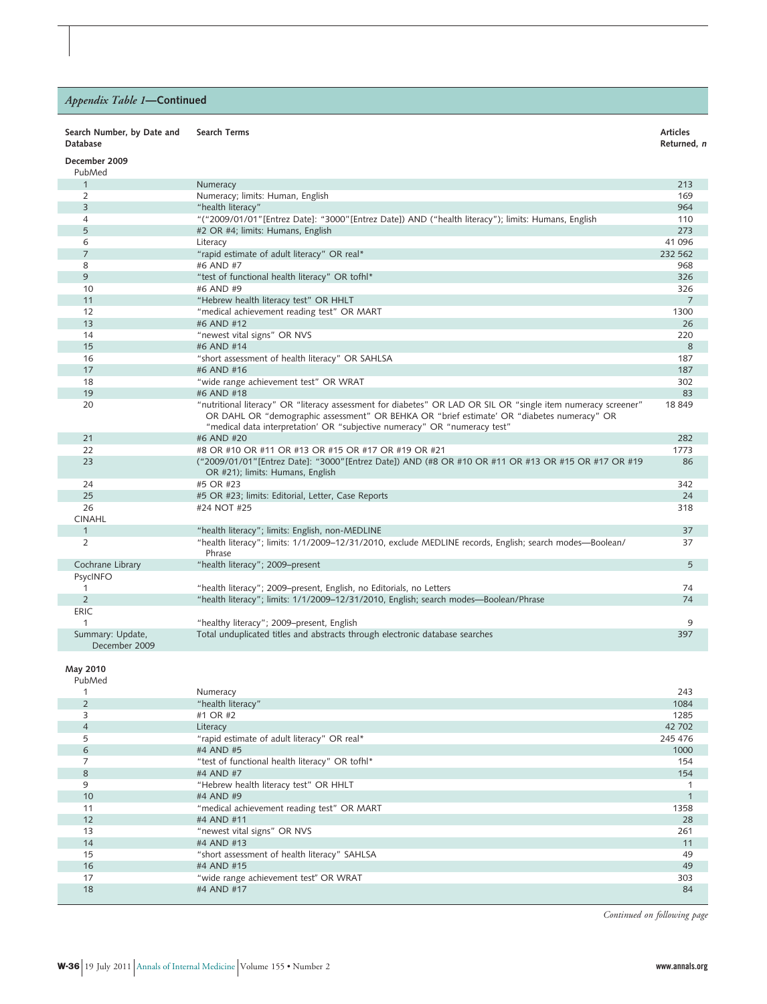# *Appendix Table 1***—Continued**

| Search Number, by Date and<br>Database | <b>Search Terms</b>                                                                                                                                                                                                                                                                      | <b>Articles</b><br>Returned. n |
|----------------------------------------|------------------------------------------------------------------------------------------------------------------------------------------------------------------------------------------------------------------------------------------------------------------------------------------|--------------------------------|
| December 2009<br>PubMed                |                                                                                                                                                                                                                                                                                          |                                |
| $\mathbf{1}$                           | Numeracy                                                                                                                                                                                                                                                                                 | 213                            |
| $\overline{2}$                         | Numeracy; limits: Human, English                                                                                                                                                                                                                                                         | 169                            |
| 3                                      | "health literacy"                                                                                                                                                                                                                                                                        | 964                            |
| 4                                      | "("2009/01/01"[Entrez Date]: "3000"[Entrez Date]) AND ("health literacy"); limits: Humans, English                                                                                                                                                                                       | 110                            |
| 5                                      | #2 OR #4; limits: Humans, English                                                                                                                                                                                                                                                        | 273                            |
| 6                                      | Literacy                                                                                                                                                                                                                                                                                 | 41 0 96                        |
| $\overline{7}$                         | "rapid estimate of adult literacy" OR real*                                                                                                                                                                                                                                              | 232 562                        |
| 8                                      | #6 AND #7                                                                                                                                                                                                                                                                                | 968                            |
| 9                                      | "test of functional health literacy" OR tofhl*                                                                                                                                                                                                                                           | 326                            |
| 10                                     | #6 AND #9                                                                                                                                                                                                                                                                                | 326                            |
| 11                                     | "Hebrew health literacy test" OR HHLT                                                                                                                                                                                                                                                    | $\overline{7}$                 |
| 12                                     | "medical achievement reading test" OR MART                                                                                                                                                                                                                                               | 1300                           |
| 13                                     | #6 AND #12                                                                                                                                                                                                                                                                               | 26                             |
| 14                                     | "newest vital signs" OR NVS                                                                                                                                                                                                                                                              | 220                            |
| 15                                     | #6 AND #14                                                                                                                                                                                                                                                                               | 8                              |
| 16                                     | "short assessment of health literacy" OR SAHLSA                                                                                                                                                                                                                                          | 187                            |
| 17                                     | #6 AND #16                                                                                                                                                                                                                                                                               | 187                            |
| 18                                     | "wide range achievement test" OR WRAT                                                                                                                                                                                                                                                    | 302                            |
| 19                                     | #6 AND #18                                                                                                                                                                                                                                                                               | 83                             |
| 20                                     | "nutritional literacy" OR "literacy assessment for diabetes" OR LAD OR SIL OR "single item numeracy screener"<br>OR DAHL OR "demographic assessment" OR BEHKA OR "brief estimate' OR "diabetes numeracy" OR<br>"medical data interpretation' OR "subjective numeracy" OR "numeracy test" | 18849                          |
| 21                                     | #6 AND #20                                                                                                                                                                                                                                                                               | 282                            |
| 22                                     | #8 OR #10 OR #11 OR #13 OR #15 OR #17 OR #19 OR #21                                                                                                                                                                                                                                      | 1773                           |
| 23                                     | ("2009/01/01" [Entrez Date]: "3000" [Entrez Date]) AND (#8 OR #10 OR #11 OR #13 OR #15 OR #17 OR #19<br>OR #21); limits: Humans, English                                                                                                                                                 | 86                             |
| 24                                     | #5 OR #23                                                                                                                                                                                                                                                                                | 342                            |
| 25                                     | #5 OR #23; limits: Editorial, Letter, Case Reports                                                                                                                                                                                                                                       | 24                             |
| 26                                     | #24 NOT #25                                                                                                                                                                                                                                                                              | 318                            |
| <b>CINAHL</b>                          |                                                                                                                                                                                                                                                                                          |                                |
| $\mathbf{1}$                           | "health literacy"; limits: English, non-MEDLINE                                                                                                                                                                                                                                          | 37                             |
| $\overline{2}$                         | "health literacy"; limits: 1/1/2009-12/31/2010, exclude MEDLINE records, English; search modes-Boolean/<br>Phrase                                                                                                                                                                        | 37                             |
| Cochrane Library                       | "health literacy"; 2009-present                                                                                                                                                                                                                                                          | 5                              |
| PsycINFO                               |                                                                                                                                                                                                                                                                                          |                                |
| 1                                      | "health literacy"; 2009-present, English, no Editorials, no Letters                                                                                                                                                                                                                      | 74                             |
| $\overline{2}$                         | "health literacy"; limits: 1/1/2009-12/31/2010, English; search modes-Boolean/Phrase                                                                                                                                                                                                     | 74                             |
| <b>ERIC</b>                            |                                                                                                                                                                                                                                                                                          |                                |
| $\mathbf{1}$                           | "healthy literacy"; 2009-present, English                                                                                                                                                                                                                                                | 9                              |
| Summary: Update,<br>December 2009      | Total unduplicated titles and abstracts through electronic database searches                                                                                                                                                                                                             | 397                            |

#### **May 2010**

| PubMed         |                                                |         |
|----------------|------------------------------------------------|---------|
|                | Numeracy                                       | 243     |
| $\overline{2}$ | "health literacy"                              | 1084    |
| 3              | #1 OR #2                                       | 1285    |
| $\overline{4}$ | Literacy                                       | 42 702  |
| 5              | "rapid estimate of adult literacy" OR real*    | 245 476 |
| 6              | #4 AND #5                                      | 1000    |
|                | "test of functional health literacy" OR tofhl* | 154     |
| 8              | #4 AND #7                                      | 154     |
| 9              | "Hebrew health literacy test" OR HHLT          |         |
| 10             | #4 AND #9                                      |         |
| 11             | "medical achievement reading test" OR MART     | 1358    |
| 12             | #4 AND #11                                     | 28      |
| 13             | "newest vital signs" OR NVS                    | 261     |
| 14             | #4 AND #13                                     | 11      |
| 15             | "short assessment of health literacy" SAHLSA   | 49      |
| 16             | #4 AND #15                                     | 49      |
| 17             | "wide range achievement test" OR WRAT          | 303     |
| 18             | #4 AND #17                                     | 84      |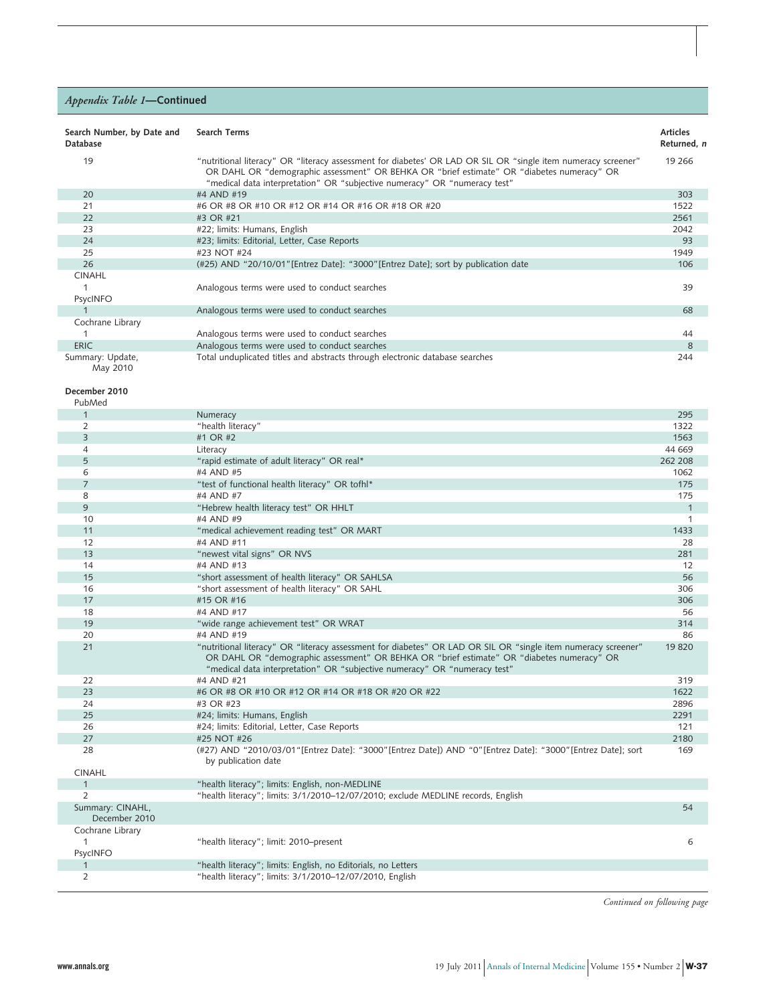# *Appendix Table 1***—Continued**

| Search Number, by Date and<br>Database | <b>Search Terms</b>                                                                                                                                                                                                                                                                      | <b>Articles</b><br>Returned, n |
|----------------------------------------|------------------------------------------------------------------------------------------------------------------------------------------------------------------------------------------------------------------------------------------------------------------------------------------|--------------------------------|
| 19                                     | "nutritional literacy" OR "literacy assessment for diabetes' OR LAD OR SIL OR "single item numeracy screener"<br>OR DAHL OR "demographic assessment" OR BEHKA OR "brief estimate" OR "diabetes numeracy" OR<br>"medical data interpretation" OR "subjective numeracy" OR "numeracy test" | 19 2 66                        |
| 20                                     | #4 AND #19                                                                                                                                                                                                                                                                               | 303                            |
| 21                                     | #6 OR #8 OR #10 OR #12 OR #14 OR #16 OR #18 OR #20                                                                                                                                                                                                                                       | 1522                           |
| 22                                     | #3 OR #21                                                                                                                                                                                                                                                                                | 2561                           |
| 23                                     | #22; limits: Humans, English                                                                                                                                                                                                                                                             | 2042                           |
| 24                                     | #23; limits: Editorial, Letter, Case Reports                                                                                                                                                                                                                                             | 93                             |
| 25                                     | #23 NOT #24                                                                                                                                                                                                                                                                              | 1949                           |
| 26                                     | (#25) AND "20/10/01" [Entrez Date]: "3000" [Entrez Date]; sort by publication date                                                                                                                                                                                                       | 106                            |
| <b>CINAHL</b>                          |                                                                                                                                                                                                                                                                                          |                                |
|                                        | Analogous terms were used to conduct searches                                                                                                                                                                                                                                            | 39                             |
| PsycINFO                               |                                                                                                                                                                                                                                                                                          |                                |
|                                        | Analogous terms were used to conduct searches                                                                                                                                                                                                                                            | 68                             |
| Cochrane Library                       |                                                                                                                                                                                                                                                                                          |                                |
|                                        | Analogous terms were used to conduct searches                                                                                                                                                                                                                                            | 44                             |
| ERIC.                                  | Analogous terms were used to conduct searches                                                                                                                                                                                                                                            | 8                              |
| Summary: Update,<br>May 2010           | Total unduplicated titles and abstracts through electronic database searches                                                                                                                                                                                                             | 244                            |

#### **December 2010**

| PubMed                        |                                                                                                                                                                                                                                                                                          |              |
|-------------------------------|------------------------------------------------------------------------------------------------------------------------------------------------------------------------------------------------------------------------------------------------------------------------------------------|--------------|
| $\mathbf{1}$                  | Numeracy                                                                                                                                                                                                                                                                                 | 295          |
| 2                             | "health literacy"                                                                                                                                                                                                                                                                        | 1322         |
| 3                             | #1 OR #2                                                                                                                                                                                                                                                                                 | 1563         |
| 4                             | Literacy                                                                                                                                                                                                                                                                                 | 44 669       |
| 5                             | "rapid estimate of adult literacy" OR real*                                                                                                                                                                                                                                              | 262 208      |
| 6                             | #4 AND #5                                                                                                                                                                                                                                                                                | 1062         |
| $\overline{7}$                | "test of functional health literacy" OR tofhl*                                                                                                                                                                                                                                           | 175          |
| 8                             | #4 AND #7                                                                                                                                                                                                                                                                                | 175          |
| 9                             | "Hebrew health literacy test" OR HHLT                                                                                                                                                                                                                                                    | $\mathbf{1}$ |
| 10                            | #4 AND #9                                                                                                                                                                                                                                                                                | 1            |
| 11                            | "medical achievement reading test" OR MART                                                                                                                                                                                                                                               | 1433         |
| 12                            | #4 AND #11                                                                                                                                                                                                                                                                               | 28           |
| 13                            | "newest vital signs" OR NVS                                                                                                                                                                                                                                                              | 281          |
| 14                            | #4 AND #13                                                                                                                                                                                                                                                                               | 12           |
| 15                            | "short assessment of health literacy" OR SAHLSA                                                                                                                                                                                                                                          | 56           |
| 16                            | "short assessment of health literacy" OR SAHL                                                                                                                                                                                                                                            | 306          |
| 17                            | #15 OR #16                                                                                                                                                                                                                                                                               | 306          |
| 18                            | #4 AND #17                                                                                                                                                                                                                                                                               | 56           |
| 19                            | "wide range achievement test" OR WRAT                                                                                                                                                                                                                                                    | 314          |
| 20                            | #4 AND #19                                                                                                                                                                                                                                                                               | 86           |
| 21                            | "nutritional literacy" OR "literacy assessment for diabetes" OR LAD OR SIL OR "single item numeracy screener"<br>OR DAHL OR "demographic assessment" OR BEHKA OR "brief estimate" OR "diabetes numeracy" OR<br>"medical data interpretation" OR "subjective numeracy" OR "numeracy test" | 19820        |
| 22                            | #4 AND #21                                                                                                                                                                                                                                                                               | 319          |
| 23                            | #6 OR #8 OR #10 OR #12 OR #14 OR #18 OR #20 OR #22                                                                                                                                                                                                                                       | 1622         |
| 24                            | #3 OR #23                                                                                                                                                                                                                                                                                | 2896         |
| 25                            | #24; limits: Humans, English                                                                                                                                                                                                                                                             | 2291         |
| 26                            | #24; limits: Editorial, Letter, Case Reports                                                                                                                                                                                                                                             | 121          |
| 27                            | #25 NOT #26                                                                                                                                                                                                                                                                              | 2180         |
| 28                            | (#27) AND "2010/03/01" [Entrez Date]: "3000" [Entrez Date]) AND "0" [Entrez Date]: "3000" [Entrez Date]; sort<br>by publication date                                                                                                                                                     | 169          |
| <b>CINAHL</b><br>$\mathbf{1}$ |                                                                                                                                                                                                                                                                                          |              |
| $\overline{2}$                | "health literacy"; limits: English, non-MEDLINE                                                                                                                                                                                                                                          |              |
| Summary: CINAHL,              | "health literacy"; limits: 3/1/2010-12/07/2010; exclude MEDLINE records, English                                                                                                                                                                                                         | 54           |
| December 2010                 |                                                                                                                                                                                                                                                                                          |              |
| Cochrane Library              |                                                                                                                                                                                                                                                                                          |              |
| $\mathbf{1}$                  | "health literacy"; limit: 2010-present                                                                                                                                                                                                                                                   | 6            |
| PsycINFO                      |                                                                                                                                                                                                                                                                                          |              |
| 1                             | "health literacy"; limits: English, no Editorials, no Letters                                                                                                                                                                                                                            |              |
| $\overline{2}$                | "health literacy"; limits: 3/1/2010-12/07/2010, English                                                                                                                                                                                                                                  |              |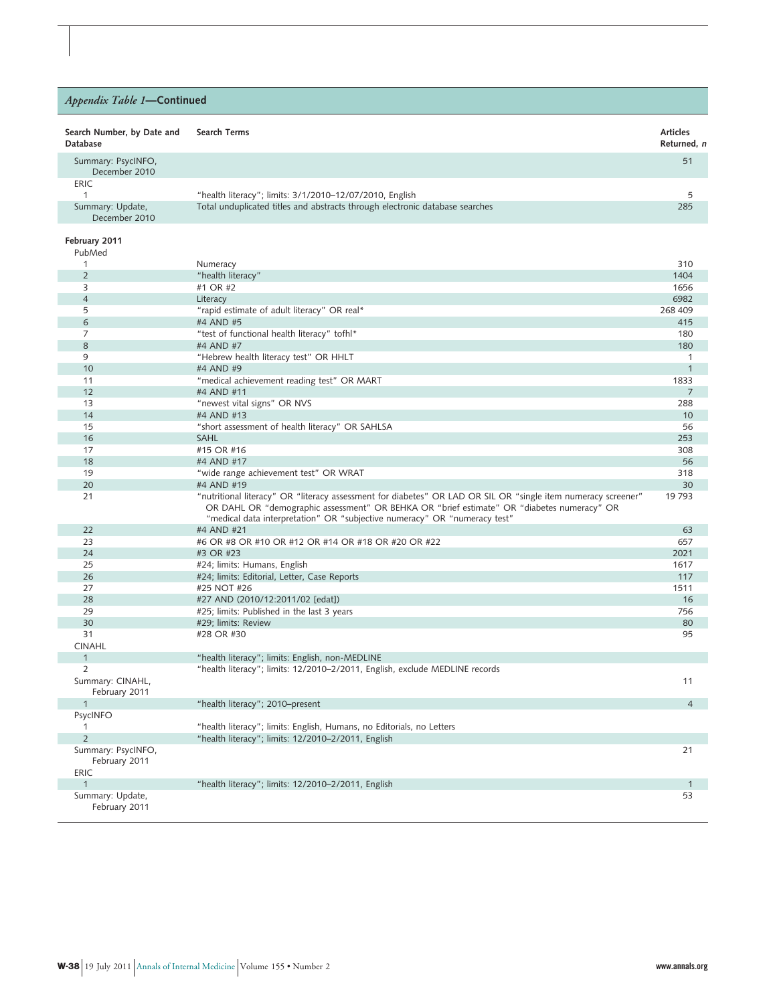# *Appendix Table 1***—Continued**

| Search Number, by Date and<br>Database | Search Terms                                                                 | <b>Articles</b><br>Returned, n |
|----------------------------------------|------------------------------------------------------------------------------|--------------------------------|
| Summary: PsycINFO,<br>December 2010    |                                                                              | 51                             |
| <b>ERIC</b>                            |                                                                              |                                |
|                                        | "health literacy"; limits: 3/1/2010-12/07/2010, English                      |                                |
| Summary: Update,<br>December 2010      | Total unduplicated titles and abstracts through electronic database searches | 285                            |

#### **February 2011**

| PubMed             |                                                                                                                                                                         |                |
|--------------------|-------------------------------------------------------------------------------------------------------------------------------------------------------------------------|----------------|
| $\mathbf{1}$       | Numeracy                                                                                                                                                                | 310            |
| $\overline{2}$     | "health literacy"                                                                                                                                                       | 1404           |
| 3                  | #1 OR #2                                                                                                                                                                | 1656           |
| $\overline{4}$     | Literacy                                                                                                                                                                | 6982           |
| 5                  | "rapid estimate of adult literacy" OR real*                                                                                                                             | 268 409        |
| 6                  | #4 AND #5                                                                                                                                                               | 415            |
| 7                  | "test of functional health literacy" tofhl*                                                                                                                             | 180            |
| 8                  | #4 AND #7                                                                                                                                                               | 180            |
| 9                  | "Hebrew health literacy test" OR HHLT                                                                                                                                   | 1              |
| 10                 | #4 AND #9                                                                                                                                                               | $\mathbf{1}$   |
| 11                 | "medical achievement reading test" OR MART                                                                                                                              | 1833           |
| 12                 | #4 AND #11                                                                                                                                                              | $\overline{7}$ |
| 13                 | "newest vital signs" OR NVS                                                                                                                                             | 288            |
| 14                 | #4 AND #13                                                                                                                                                              | 10             |
| 15                 | "short assessment of health literacy" OR SAHLSA                                                                                                                         | 56             |
| 16                 | <b>SAHL</b>                                                                                                                                                             | 253            |
| 17                 | #15 OR #16                                                                                                                                                              | 308            |
| 18                 | #4 AND #17                                                                                                                                                              | 56             |
| 19                 | "wide range achievement test" OR WRAT                                                                                                                                   | 318            |
| 20                 | #4 AND #19                                                                                                                                                              | 30             |
| 21                 | "nutritional literacy" OR "literacy assessment for diabetes" OR LAD OR SIL OR "single item numeracy screener"                                                           | 19 793         |
|                    | OR DAHL OR "demographic assessment" OR BEHKA OR "brief estimate" OR "diabetes numeracy" OR<br>"medical data interpretation" OR "subjective numeracy" OR "numeracy test" |                |
| 22                 | #4 AND #21                                                                                                                                                              | 63             |
| 23                 | #6 OR #8 OR #10 OR #12 OR #14 OR #18 OR #20 OR #22                                                                                                                      | 657            |
| 24                 | #3 OR #23                                                                                                                                                               | 2021           |
| 25                 | #24; limits: Humans, English                                                                                                                                            | 1617           |
| 26                 | #24; limits: Editorial, Letter, Case Reports                                                                                                                            | 117            |
| 27                 | #25 NOT #26                                                                                                                                                             | 1511           |
| 28                 | #27 AND (2010/12:2011/02 [edat])                                                                                                                                        | 16             |
| 29                 | #25; limits: Published in the last 3 years                                                                                                                              | 756            |
| 30                 | #29; limits: Review                                                                                                                                                     | 80             |
| 31                 | #28 OR #30                                                                                                                                                              | 95             |
| <b>CINAHL</b>      |                                                                                                                                                                         |                |
| 1                  | "health literacy"; limits: English, non-MEDLINE                                                                                                                         |                |
| $\overline{2}$     | "health literacy"; limits: 12/2010-2/2011, English, exclude MEDLINE records                                                                                             |                |
| Summary: CINAHL,   |                                                                                                                                                                         | 11             |
| February 2011      |                                                                                                                                                                         |                |
| 1                  | "health literacy"; 2010–present                                                                                                                                         | $\overline{4}$ |
| PsycINFO           |                                                                                                                                                                         |                |
| $\mathbf{1}$       | "health literacy"; limits: English, Humans, no Editorials, no Letters                                                                                                   |                |
| $\overline{2}$     | "health literacy"; limits: 12/2010-2/2011, English                                                                                                                      |                |
| Summary: PsycINFO, |                                                                                                                                                                         | 21             |
| February 2011      |                                                                                                                                                                         |                |
| ERIC               |                                                                                                                                                                         |                |
| $\mathbf{1}$       | "health literacy"; limits: 12/2010–2/2011, English                                                                                                                      | $\mathbf{1}$   |
| Summary: Update,   |                                                                                                                                                                         | 53             |
| February 2011      |                                                                                                                                                                         |                |
|                    |                                                                                                                                                                         |                |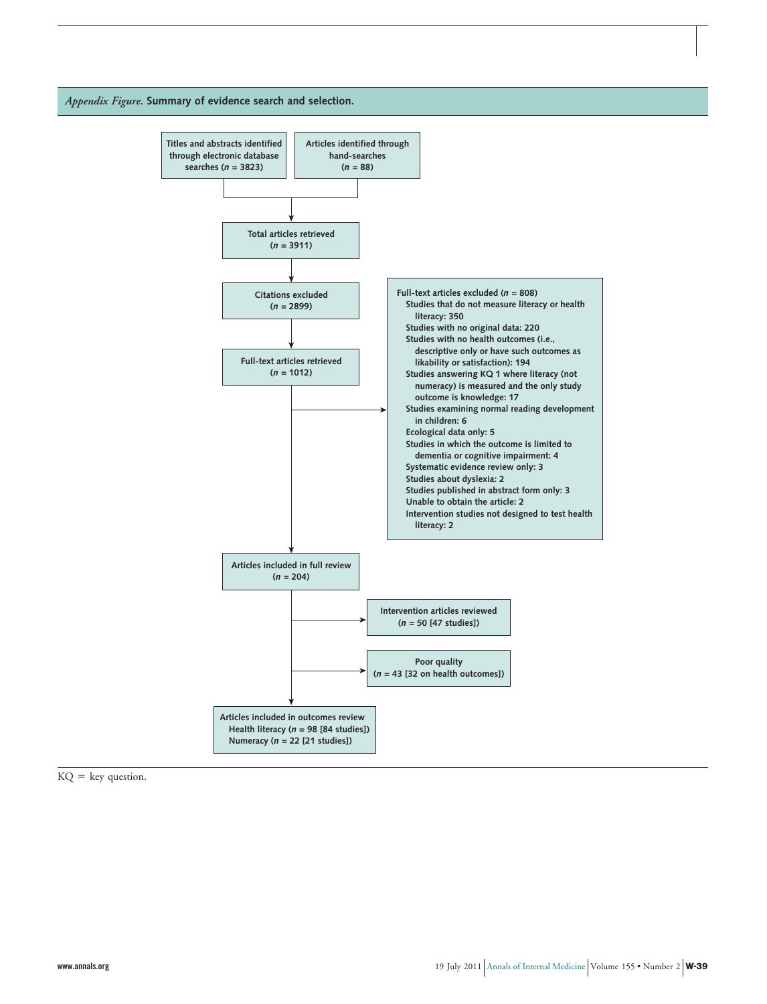#### *Appendix Figure.* **Summary of evidence search and selection.**



 $KQ = \text{key question}.$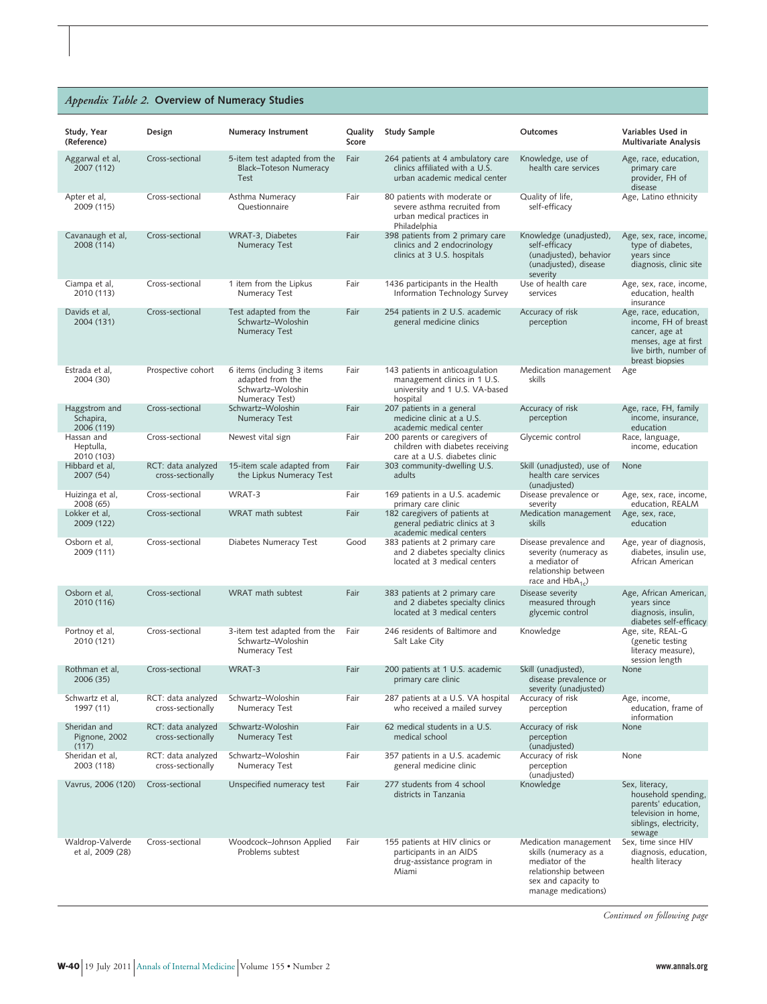# *Appendix Table 2.* **Overview of Numeracy Studies**

| Study, Year<br>(Reference)               | Design                                  | <b>Numeracy Instrument</b>                                                            | Quality<br>Score | <b>Study Sample</b>                                                                                           | Outcomes                                                                                                                                | Variables Used in<br><b>Multivariate Analysis</b>                                                                                   |
|------------------------------------------|-----------------------------------------|---------------------------------------------------------------------------------------|------------------|---------------------------------------------------------------------------------------------------------------|-----------------------------------------------------------------------------------------------------------------------------------------|-------------------------------------------------------------------------------------------------------------------------------------|
| Aggarwal et al,<br>2007 (112)            | Cross-sectional                         | 5-item test adapted from the<br>Black-Toteson Numeracy<br>Test                        | Fair             | 264 patients at 4 ambulatory care<br>clinics affiliated with a U.S.<br>urban academic medical center          | Knowledge, use of<br>health care services                                                                                               | Age, race, education,<br>primary care<br>provider, FH of<br>disease                                                                 |
| Apter et al,<br>2009 (115)               | Cross-sectional                         | Asthma Numeracy<br>Questionnaire                                                      | Fair             | 80 patients with moderate or<br>severe asthma recruited from<br>urban medical practices in<br>Philadelphia    | Quality of life,<br>self-efficacy                                                                                                       | Age, Latino ethnicity                                                                                                               |
| Cavanaugh et al,<br>2008 (114)           | Cross-sectional                         | WRAT-3, Diabetes<br>Numeracy Test                                                     | Fair             | 398 patients from 2 primary care<br>clinics and 2 endocrinology<br>clinics at 3 U.S. hospitals                | Knowledge (unadjusted),<br>self-efficacy<br>(unadjusted), behavior<br>(unadjusted), disease<br>severity                                 | Age, sex, race, income,<br>type of diabetes,<br>years since<br>diagnosis, clinic site                                               |
| Ciampa et al,<br>2010 (113)              | Cross-sectional                         | 1 item from the Lipkus<br>Numeracy Test                                               | Fair             | 1436 participants in the Health<br>Information Technology Survey                                              | Use of health care<br>services                                                                                                          | Age, sex, race, income,<br>education, health<br>insurance                                                                           |
| Davids et al,<br>2004 (131)              | Cross-sectional                         | Test adapted from the<br>Schwartz-Woloshin<br>Numeracy Test                           | Fair             | 254 patients in 2 U.S. academic<br>general medicine clinics                                                   | Accuracy of risk<br>perception                                                                                                          | Age, race, education,<br>income, FH of breast<br>cancer, age at<br>menses, age at first<br>live birth, number of<br>breast biopsies |
| Estrada et al.<br>2004 (30)              | Prospective cohort                      | 6 items (including 3 items<br>adapted from the<br>Schwartz-Woloshin<br>Numeracy Test) | Fair             | 143 patients in anticoagulation<br>management clinics in 1 U.S.<br>university and 1 U.S. VA-based<br>hospital | Medication management<br>skills                                                                                                         | Age                                                                                                                                 |
| Haggstrom and<br>Schapira,<br>2006 (119) | Cross-sectional                         | Schwartz-Woloshin<br>Numeracy Test                                                    | Fair             | 207 patients in a general<br>medicine clinic at a U.S.<br>academic medical center                             | Accuracy of risk<br>perception                                                                                                          | Age, race, FH, family<br>income, insurance,<br>education                                                                            |
| Hassan and<br>Heptulla,<br>2010 (103)    | Cross-sectional                         | Newest vital sign                                                                     | Fair             | 200 parents or caregivers of<br>children with diabetes receiving<br>care at a U.S. diabetes clinic            | Glycemic control                                                                                                                        | Race, language,<br>income, education                                                                                                |
| Hibbard et al,<br>2007 (54)              | RCT: data analyzed<br>cross-sectionally | 15-item scale adapted from<br>the Lipkus Numeracy Test                                | Fair             | 303 community-dwelling U.S.<br>adults                                                                         | Skill (unadjusted), use of<br>health care services<br>(unadjusted)                                                                      | None                                                                                                                                |
| Huizinga et al,<br>2008 (65)             | Cross-sectional                         | WRAT-3                                                                                | Fair             | 169 patients in a U.S. academic<br>primary care clinic                                                        | Disease prevalence or<br>severity                                                                                                       | Age, sex, race, income,<br>education, REALM                                                                                         |
| Lokker et al,<br>2009 (122)              | Cross-sectional                         | WRAT math subtest                                                                     | Fair             | 182 caregivers of patients at<br>general pediatric clinics at 3<br>academic medical centers                   | Medication management<br>skills                                                                                                         | Age, sex, race,<br>education                                                                                                        |
| Osborn et al,<br>2009 (111)              | Cross-sectional                         | Diabetes Numeracy Test                                                                | Good             | 383 patients at 2 primary care<br>and 2 diabetes specialty clinics<br>located at 3 medical centers            | Disease prevalence and<br>severity (numeracy as<br>a mediator of<br>relationship between<br>race and $HbA_{1c}$ )                       | Age, year of diagnosis,<br>diabetes, insulin use,<br>African American                                                               |
| Osborn et al,<br>2010 (116)              | Cross-sectional                         | WRAT math subtest                                                                     | Fair             | 383 patients at 2 primary care<br>and 2 diabetes specialty clinics<br>located at 3 medical centers            | Disease severity<br>measured through<br>glycemic control                                                                                | Age, African American,<br>years since<br>diagnosis, insulin,<br>diabetes self-efficacy                                              |
| Portnoy et al,<br>2010 (121)             | Cross-sectional                         | 3-item test adapted from the<br>Schwartz-Woloshin<br>Numeracy Test                    | Fair             | 246 residents of Baltimore and<br>Salt Lake City                                                              | Knowledge                                                                                                                               | Age, site, REAL-G<br>(genetic testing<br>literacy measure),<br>session length                                                       |
| Rothman et al,<br>2006 (35)              | Cross-sectional                         | WRAT-3                                                                                | Fair             | 200 patients at 1 U.S. academic<br>primary care clinic                                                        | Skill (unadjusted),<br>disease prevalence or<br>severity (unadjusted)                                                                   | None                                                                                                                                |
| Schwartz et al,<br>1997 (11)             | RCT: data analyzed<br>cross-sectionally | Schwartz-Woloshin<br>Numeracy Test                                                    | Fair             | 287 patients at a U.S. VA hospital<br>who received a mailed survey                                            | Accuracy of risk<br>perception                                                                                                          | Age, income,<br>education, frame of<br>information                                                                                  |
| Sheridan and<br>Pignone, 2002<br>(117)   | RCT: data analyzed<br>cross-sectionally | Schwartz-Woloshin<br>Numeracy Test                                                    | Fair             | 62 medical students in a U.S.<br>medical school                                                               | Accuracy of risk<br>perception<br>(unadjusted)                                                                                          | None                                                                                                                                |
| Sheridan et al,<br>2003 (118)            | RCT: data analyzed<br>cross-sectionally | Schwartz-Woloshin<br>Numeracy Test                                                    | Fair             | 357 patients in a U.S. academic<br>general medicine clinic                                                    | Accuracy of risk<br>perception<br>(unadjusted)                                                                                          | None                                                                                                                                |
| Vavrus, 2006 (120)                       | Cross-sectional                         | Unspecified numeracy test                                                             | Fair             | 277 students from 4 school<br>districts in Tanzania                                                           | Knowledge                                                                                                                               | Sex, literacy,<br>household spending,<br>parents' education,<br>television in home,<br>siblings, electricity,<br>sewage             |
| Waldrop-Valverde<br>et al, 2009 (28)     | Cross-sectional                         | Woodcock-Johnson Applied<br>Problems subtest                                          | Fair             | 155 patients at HIV clinics or<br>participants in an AIDS<br>drug-assistance program in<br>Miami              | Medication management<br>skills (numeracy as a<br>mediator of the<br>relationship between<br>sex and capacity to<br>manage medications) | Sex, time since HIV<br>diagnosis, education,<br>health literacy                                                                     |